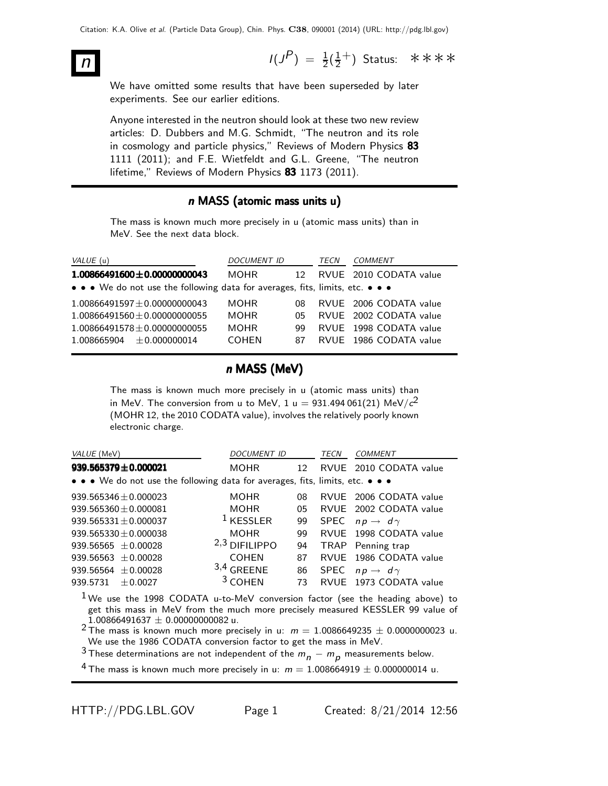$n$  I(J  $P$ ) =  $\frac{1}{2}(\frac{1}{2})$  $\frac{1}{2}^+$ ) Status: \*\*\*\*

We have omitted some results that have been superseded by later experiments. See our earlier editions.

Anyone interested in the neutron should look at these two new review articles: D. Dubbers and M.G. Schmidt, "The neutron and its role in cosmology and particle physics," Reviews of Modern Physics 83 1111 (2011); and F.E. Wietfeldt and G.L. Greene, "The neutron lifetime," Reviews of Modern Physics 83 1173 (2011).

## n MASS (atomic mass units u)

The mass is known much more precisely in u (atomic mass units) than in MeV. See the next data block.

| VALUE (u)                                                                     | DOCUMENT ID  |                 | TECN | <b>COMMENT</b>         |
|-------------------------------------------------------------------------------|--------------|-----------------|------|------------------------|
| $1.00866491600 \pm 0.00000000043$                                             | <b>MOHR</b>  | 12 <sub>1</sub> |      | RVUE 2010 CODATA value |
| • • • We do not use the following data for averages, fits, limits, etc. • • • |              |                 |      |                        |
| $1.00866491597 \pm 0.00000000043$                                             | <b>MOHR</b>  | 08              |      | RVUE 2006 CODATA value |
| $1.00866491560 \pm 0.00000000055$                                             | <b>MOHR</b>  | 05              |      | RVUE 2002 CODATA value |
| $1.00866491578 \pm 0.00000000055$                                             | <b>MOHR</b>  | qq              |      | RVUE 1998 CODATA value |
| $1.008665904 + 0.000000014$                                                   | <b>COHEN</b> | 87              |      | RVUE 1986 CODATA value |

## n MASS (MeV)

The mass is known much more precisely in u (atomic mass units) than in MeV. The conversion from u to MeV, 1 u  $= 931.494\,061(21)$  MeV/ $c^{2}$ (MOHR 12, the 2010 CODATA value), involves the relatively poorly known electronic charge.

| VALUE (MeV)                                                                   | <b>DOCUMENT ID</b> |    | TECN | COMMENT                       |
|-------------------------------------------------------------------------------|--------------------|----|------|-------------------------------|
| $939.565379 \pm 0.000021$                                                     | MOHR               | 12 |      | RVUE 2010 CODATA value        |
| • • • We do not use the following data for averages, fits, limits, etc. • • • |                    |    |      |                               |
| $939.565346 \pm 0.000023$                                                     | <b>MOHR</b>        | 08 |      | RVUE 2006 CODATA value        |
| $939.565360 \pm 0.000081$                                                     | <b>MOHR</b>        | 05 |      | RVUE 2002 CODATA value        |
| $939.565331 \pm 0.000037$                                                     | $1$ KESSLER        | 99 |      | SPEC $np \rightarrow d\gamma$ |
| $939.565330 + 0.000038$                                                       | <b>MOHR</b>        | 99 |      | RVUE 1998 CODATA value        |
| 939.56565 $\pm$ 0.00028                                                       | $2,3$ DIFILIPPO    | 94 |      | TRAP Penning trap             |
| 939.56563 $\pm$ 0.00028                                                       | <b>COHEN</b>       | 87 |      | RVUE 1986 CODATA value        |
| 939.56564 $\pm$ 0.00028                                                       | $3,4$ GREENE       | 86 |      | SPEC $np \rightarrow d\gamma$ |
| 939.5731<br>$+0.0027$                                                         | $3$ COHEN          | 73 |      | RVUE 1973 CODATA value        |
|                                                                               |                    |    |      |                               |

1 We use the 1998 CODATA u-to-MeV conversion factor (see the heading above) to get this mass in MeV from the much more precisely measured KESSLER 99 value of  $1.00866491637 \pm 0.00000000082$ u.

<sup>2</sup> The mass is known much more precisely in u:  $m = 1.0086649235 \pm 0.0000000023$  u. We use the 1986 CODATA conversion factor to get the mass in MeV.

3 These determinations are not independent of the  $m_n - m_p$  measurements below.

<sup>4</sup> The mass is known much more precisely in u:  $m = 1.008664919 \pm 0.000000014$  u.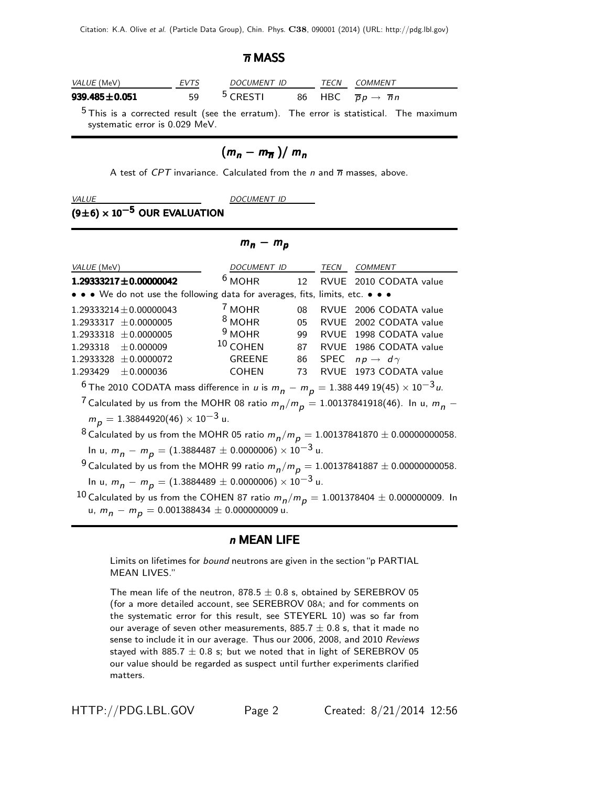#### $\overline{n}$  MASS

| <i>VALUE</i> (MeV)  | <b>EVTS</b> | <i>DOCUMENT ID</i>  | TECN | COMMENT                                          |
|---------------------|-------------|---------------------|------|--------------------------------------------------|
| $939.485 \pm 0.051$ | 59          | <sup>5</sup> CRESTI |      | 86 HBC $\overline{p}p \rightarrow \overline{n}n$ |
|                     |             |                     |      |                                                  |

<sup>5</sup> This is a corrected result (see the erratum). The error is statistical. The maximum systematic error is 0.029 MeV.

# $(m_n - m_{\overline{n}})/m_n$

A test of CPT invariance. Calculated from the n and  $\overline{n}$  masses, above.

VALUE DOCUMENT ID

## $(9±6) \times 10^{-5}$  OUR EVALUATION

## $m_n - m_p$

| VALUE (MeV)                                                                                                                                     | DOCUMENT ID TECN |    |             | COMMENT                       |
|-------------------------------------------------------------------------------------------------------------------------------------------------|------------------|----|-------------|-------------------------------|
| $1.29333217 \pm 0.00000042$                                                                                                                     | $6$ MOHR         |    |             | 12 RVUE 2010 CODATA value     |
| • • • We do not use the following data for averages, fits, limits, etc. • • •                                                                   |                  |    |             |                               |
| $1.29333214 \pm 0.00000043$                                                                                                                     | $7$ MOHR         | 08 | <b>RVUE</b> | 2006 CODATA value             |
| $1.2933317 \pm 0.0000005$                                                                                                                       | $8$ MOHR         | 05 | RVUE        | 2002 CODATA value             |
| $1.2933318 \pm 0.0000005$                                                                                                                       | $9$ MOHR         | 99 |             | RVUE 1998 CODATA value        |
| $1.293318 \pm 0.000009$                                                                                                                         | $10$ COHEN       | 87 |             | RVUE 1986 CODATA value        |
| $1.2933328 \pm 0.0000072$                                                                                                                       | <b>GREENE</b>    | 86 |             | SPEC $np \rightarrow d\gamma$ |
| 1.293429<br>± 0.000036                                                                                                                          | <b>COHEN</b>     | 73 | <b>RVUE</b> | 1973 CODATA value             |
| $^6$ The 2010 CODATA mass difference in $\mu$ is $m_{\tilde{B}} - m_{\tilde{B}} = 1.388$ 449 19(45) $\times$ 10 $^{-3}$ u.                      |                  |    |             |                               |
| <sup>7</sup> Calculated by us from the MOHR 08 ratio $m_p/m_p = 1.00137841918(46)$ . In u, $m_p$ –                                              |                  |    |             |                               |
| $m_p = 1.38844920(46) \times 10^{-3}$ u.                                                                                                        |                  |    |             |                               |
| <sup>8</sup> Calculated by us from the MOHR 05 ratio $m_p/m_p = 1.00137841870 \pm 0.00000000058$ .                                              |                  |    |             |                               |
| In u, $m_p - m_p = (1.3884487 \pm 0.0000006) \times 10^{-3}$ u.                                                                                 |                  |    |             |                               |
| <sup>9</sup> Calculated by us from the MOHR 99 ratio $m_p/m_p = 1.00137841887 \pm 0.00000000058$ .                                              |                  |    |             |                               |
| In u, $m_p - m_p = (1.3884489 \pm 0.0000006) \times 10^{-3}$ u.                                                                                 |                  |    |             |                               |
| $^{10}$ Calculated by us from the COHEN 87 ratio $m_p/m_p = 1.001378404 \pm 0.00000009$ . In<br>u, $m_n - m_p = 0.001388434 \pm 0.000000009$ u. |                  |    |             |                               |

## n MEAN LIFE

Limits on lifetimes for bound neutrons are given in the section "p PARTIAL MEAN LIVES."

The mean life of the neutron,  $878.5 \pm 0.8$  s, obtained by SEREBROV 05 (for a more detailed account, see SEREBROV 08A; and for comments on the systematic error for this result, see STEYERL 10) was so far from our average of seven other measurements,  $885.7 \pm 0.8$  s, that it made no sense to include it in our average. Thus our 2006, 2008, and 2010 Reviews stayed with 885.7  $\pm$  0.8 s; but we noted that in light of SEREBROV 05 our value should be regarded as suspect until further experiments clarified matters.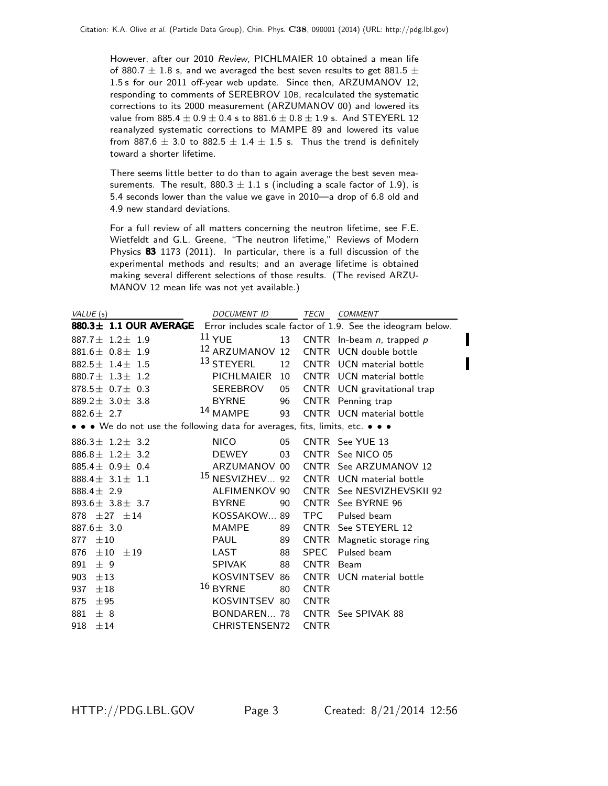However, after our 2010 Review, PICHLMAIER 10 obtained a mean life of 880.7  $\pm$  1.8 s, and we averaged the best seven results to get 881.5  $\pm$ 1.5 s for our 2011 off-year web update. Since then, ARZUMANOV 12, responding to comments of SEREBROV 10B, recalculated the systematic corrections to its 2000 measurement (ARZUMANOV 00) and lowered its value from  $885.4 \pm 0.9 \pm 0.4$  s to  $881.6 \pm 0.8 \pm 1.9$  s. And STEYERL 12 reanalyzed systematic corrections to MAMPE 89 and lowered its value from 887.6  $\pm$  3.0 to 882.5  $\pm$  1.4  $\pm$  1.5 s. Thus the trend is definitely toward a shorter lifetime.

There seems little better to do than to again average the best seven measurements. The result,  $880.3 \pm 1.1$  s (including a scale factor of 1.9), is 5.4 seconds lower than the value we gave in 2010—a drop of 6.8 old and 4.9 new standard deviations.

For a full review of all matters concerning the neutron lifetime, see F.E. Wietfeldt and G.L. Greene, "The neutron lifetime," Reviews of Modern Physics 83 1173 (2011). In particular, there is a full discussion of the experimental methods and results; and an average lifetime is obtained making several different selections of those results. (The revised ARZU-MANOV 12 mean life was not yet available.)

| VALUE (s)                                                                     | DOCUMENT ID                | TECN<br>COMMENT                                             |
|-------------------------------------------------------------------------------|----------------------------|-------------------------------------------------------------|
| $880.3 \pm 1.1$ OUR AVERAGE                                                   |                            | Error includes scale factor of 1.9. See the ideogram below. |
| $887.7 + 1.2 + 1.9$                                                           | $11$ YUE<br>13             | CNTR In-beam $n$ , trapped $p$                              |
| $881.6 \pm 0.8 \pm 1.9$                                                       | 12 ARZUMANOV 12            | CNTR UCN double bottle                                      |
| 882.5 $\pm$ 1.4 $\pm$ 1.5                                                     | 13 STEYERL<br>12           | CNTR UCN material bottle                                    |
| 880.7 $\pm$ 1.3 $\pm$ 1.2                                                     | <b>PICHLMAIER</b><br>10    | CNTR UCN material bottle                                    |
| 878.5 $\pm$ 0.7 $\pm$ 0.3                                                     | SEREBROV<br>05             | CNTR UCN gravitational trap                                 |
| 889.2 $\pm$ 3.0 $\pm$ 3.8                                                     | <b>BYRNE</b><br>96         | CNTR Penning trap                                           |
| 882.6 $\pm$ 2.7                                                               | 14 MAMPE<br>93             | CNTR UCN material bottle                                    |
| • • • We do not use the following data for averages, fits, limits, etc. • • • |                            |                                                             |
| 886.3 $\pm$ 1.2 $\pm$ 3.2                                                     | <b>NICO</b><br>05          | CNTR See YUE 13                                             |
| $886.8 \pm 1.2 \pm 3.2$                                                       | 03<br>DEWEY                | CNTR See NICO 05                                            |
| 885.4 $\pm$ 0.9 $\pm$ 0.4                                                     | ARZUMANOV 00               | CNTR See ARZUMANOV 12                                       |
| 888.4 $\pm$ 3.1 $\pm$ 1.1                                                     | <sup>15</sup> NESVIZHEV 92 | CNTR UCN material bottle                                    |
| 888.4 $\pm$ 2.9                                                               | ALFIMENKOV 90              | CNTR See NESVIZHEVSKII 92                                   |
| $893.6 \pm 3.8 \pm 3.7$                                                       | <b>BYRNE</b><br>90         | CNTR See BYRNE 96                                           |
| 878 $\pm 27$ $\pm 14$                                                         | KOSSAKOW89                 | TPC Pulsed beam                                             |
| 887.6 $\pm$ 3.0                                                               | <b>MAMPE</b><br>89         | CNTR See STEYERL 12                                         |
| 877<br>$\pm 10$                                                               | <b>PAUL</b><br>89          | CNTR Magnetic storage ring                                  |
| 876<br>$\pm 10$<br>±19                                                        | LAST<br>88                 | Pulsed beam<br>SPEC                                         |
| 891<br>± 9                                                                    | <b>SPIVAK</b><br>88        | CNTR Beam                                                   |
| 903<br>±13                                                                    | KOSVINTSEV 86              | CNTR UCN material bottle                                    |
| 937<br>$\pm 18$                                                               | 16 BYRNE<br>80             | <b>CNTR</b>                                                 |
| 875<br>±95                                                                    | KOSVINTSEV 80              | <b>CNTR</b>                                                 |
| 881<br>± 8                                                                    | BONDAREN 78                | CNTR See SPIVAK 88                                          |
| 918<br>±14                                                                    | CHRISTENSEN72              | <b>CNTR</b>                                                 |

I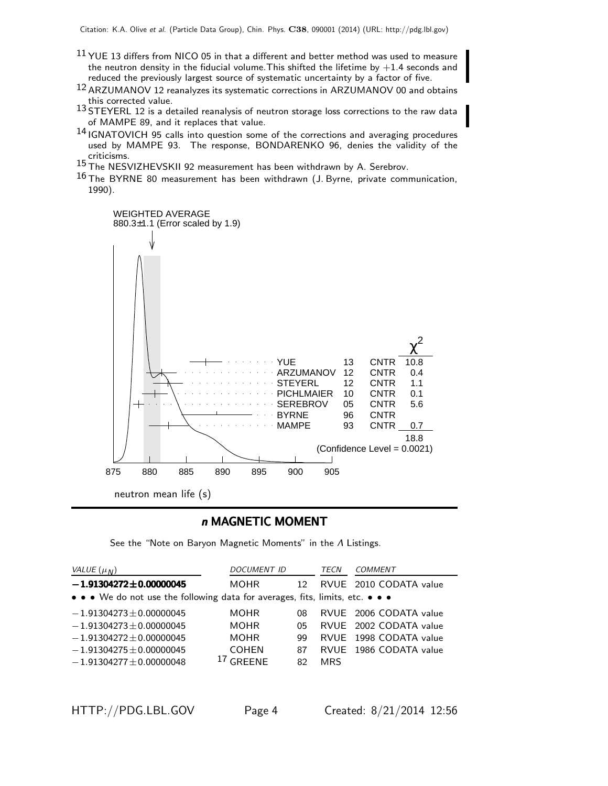- $11$  YUE 13 differs from NICO 05 in that a different and better method was used to measure the neutron density in the fiducial volume. This shifted the lifetime by  $+1.4$  seconds and reduced the previously largest source of systematic uncertainty by a factor of five.
- 12 ARZUMANOV 12 reanalyzes its systematic corrections in ARZUMANOV 00 and obtains this corrected value.
- 13 STEYERL 12 is a detailed reanalysis of neutron storage loss corrections to the raw data of MAMPE 89, and it replaces that value.
- 14 IGNATOVICH 95 calls into question some of the corrections and averaging procedures used by MAMPE 93. The response, BONDARENKO 96, denies the validity of the criticisms.
- 15 The NESVIZHEVSKII 92 measurement has been withdrawn by A. Serebrov.
- $16$  The BYRNE 80 measurement has been withdrawn (J. Byrne, private communication, 1990).



#### n MAGNETIC MOMENT

See the "Note on Baryon Magnetic Moments" in the Λ Listings.

| VALUE $(\mu_N)$                                                               | <b>DOCUMENT ID</b> |                 | TECN       | COMMENT                |  |  |
|-------------------------------------------------------------------------------|--------------------|-----------------|------------|------------------------|--|--|
| $-1.91304272 \pm 0.00000045$                                                  | <b>MOHR</b>        | 12 <sup>°</sup> |            | RVUE 2010 CODATA value |  |  |
| • • • We do not use the following data for averages, fits, limits, etc. • • • |                    |                 |            |                        |  |  |
| $-1.91304273 \pm 0.00000045$                                                  | <b>MOHR</b>        | 08              |            | RVUE 2006 CODATA value |  |  |
| $-1.91304273 \pm 0.00000045$                                                  | <b>MOHR</b>        | 05              |            | RVUE 2002 CODATA value |  |  |
| $-1.91304272 \pm 0.00000045$                                                  | <b>MOHR</b>        | qq              |            | RVUE 1998 CODATA value |  |  |
| $-1.91304275 \pm 0.00000045$                                                  | <b>COHEN</b>       | 87              |            | RVUE 1986 CODATA value |  |  |
| $-1.91304277 \pm 0.00000048$                                                  | $17$ GRFFNF        | 82              | <b>MRS</b> |                        |  |  |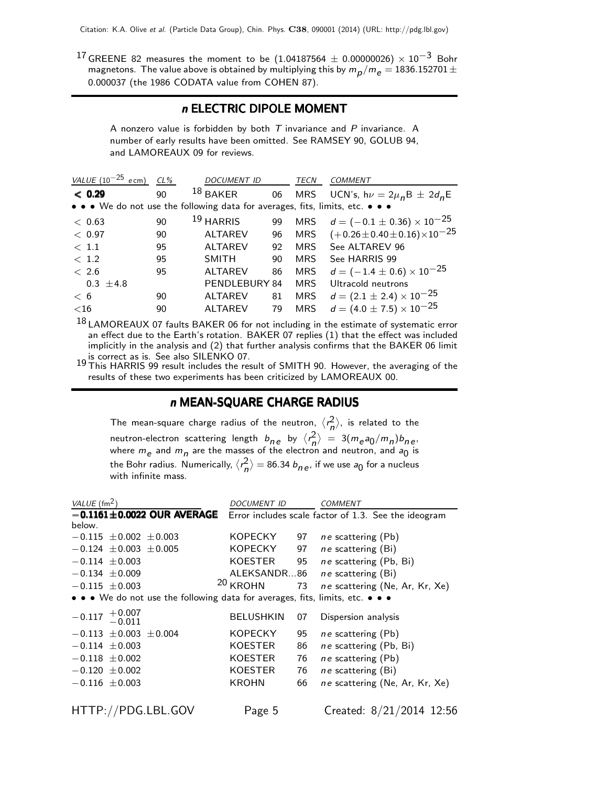17 GREENE 82 measures the moment to be  $(1.04187564 \pm 0.00000026) \times 10^{-3}$  Bohr magnetons. The value above is obtained by multiplying this by  $m_{\small\rho}/m_{\small e}=$  1836.152701  $\pm$ 0.000037 (the 1986 CODATA value from COHEN 87).

## n ELECTRIC DIPOLE MOMENT

A nonzero value is forbidden by both  $T$  invariance and  $P$  invariance. A number of early results have been omitted. See RAMSEY 90, GOLUB 94, and LAMOREAUX 09 for reviews.

| VALUE $(10^{-25}$ ecm)                                                        | $CL\%$ | <b>DOCUMENT ID</b>   |    | TECN       | COMMENT                                     |
|-------------------------------------------------------------------------------|--------|----------------------|----|------------|---------------------------------------------|
| < 0.29                                                                        | 90     | $18$ BAKER           | 06 | MRS        | UCN's, $h\nu = 2\mu_n B \pm 2d_n E$         |
| • • • We do not use the following data for averages, fits, limits, etc. • • • |        |                      |    |            |                                             |
| < 0.63                                                                        | 90     | <sup>19</sup> HARRIS | 99 | MRS        | $d=(-0.1\pm0.36)\times10^{-25}$             |
| < 0.97                                                                        | 90     | <b>ALTAREV</b>       | 96 | <b>MRS</b> | $(+0.26 \pm 0.40 \pm 0.16) \times 10^{-25}$ |
| $<$ 1.1                                                                       | 95     | <b>ALTAREV</b>       | 92 | <b>MRS</b> | See ALTAREV 96                              |
| < 1.2                                                                         | 95     | <b>SMITH</b>         | 90 | <b>MRS</b> | See HARRIS 99                               |
| < 2.6                                                                         | 95     | <b>ALTAREV</b>       | 86 | <b>MRS</b> | $d = (-1.4 \pm 0.6) \times 10^{-25}$        |
| $0.3 \pm 4.8$                                                                 |        | PENDLEBURY 84        |    | <b>MRS</b> | Ultracold neutrons                          |
| < 6                                                                           | 90     | <b>ALTAREV</b>       | 81 | <b>MRS</b> | $d = (2.1 \pm 2.4) \times 10^{-25}$         |
| ${<}16$                                                                       | 90     | <b>ALTAREV</b>       | 79 | <b>MRS</b> | $d = (4.0 \pm 7.5) \times 10^{-25}$         |
| 10                                                                            |        |                      |    |            |                                             |

<sup>18</sup> LAMOREAUX 07 faults BAKER 06 for not including in the estimate of systematic error an effect due to the Earth's rotation. BAKER 07 replies (1) that the effect was included implicitly in the analysis and (2) that further analysis confirms that the BAKER 06 limit is correct as is. See also SILENKO 07.

19 This HARRIS 99 result includes the result of SMITH 90. However, the averaging of the results of these two experiments has been criticized by LAMOREAUX 00.

#### n MEAN-SQUARE CHARGE RADIUS

The mean-square charge radius of the neutron,  $\langle r_n^2 \rangle$ , is related to the neutron-electron scattering length  $b_{ne}$  by  $\langle r_n^2 \rangle = 3(m_e a_0/m_n) b_{ne}$ where  $m_e$  and  $m_\eta$  are the masses of the electron and neutron, and  $a_0$  is the Bohr radius. Numerically,  $\langle r_n^2 \rangle = 86.34$   $b_{n\,e}$ , if we use  $a_0$  for a nucleus with infinite mass.

| VALUE $(\text{fm}^2)$                                                         | <b>DOCUMENT ID</b>  |    | <b>COMMENT</b>                                       |  |  |
|-------------------------------------------------------------------------------|---------------------|----|------------------------------------------------------|--|--|
| $-0.1161 \pm 0.0022$ OUR AVERAGE                                              |                     |    | Error includes scale factor of 1.3. See the ideogram |  |  |
| below.                                                                        |                     |    |                                                      |  |  |
| $-0.115 \pm 0.002 \pm 0.003$                                                  | KOPECKY             | 97 | <i>ne</i> scattering (Pb)                            |  |  |
| $-0.124 \pm 0.003 \pm 0.005$                                                  | KOPECKY             | 97 | ne scattering (Bi)                                   |  |  |
| $-0.114 \pm 0.003$                                                            | KOESTER             | 95 | ne scattering (Pb, Bi)                               |  |  |
| $-0.134 \pm 0.009$                                                            | ALEKSANDR86         |    | ne scattering (Bi)                                   |  |  |
| $-0.115 \pm 0.003$                                                            | <sup>20</sup> KROHN | 73 | ne scattering (Ne, Ar, Kr, Xe)                       |  |  |
| • • • We do not use the following data for averages, fits, limits, etc. • • • |                     |    |                                                      |  |  |
| $-0.117$ $+0.007$<br>$-0.011$                                                 | BELUSHKIN           | 07 | Dispersion analysis                                  |  |  |
| $-0.113 \pm 0.003 \pm 0.004$                                                  | <b>KOPECKY</b>      | 95 | ne scattering (Pb)                                   |  |  |
| $-0.114 \pm 0.003$                                                            | KOESTER             | 86 | ne scattering (Pb, Bi)                               |  |  |
| $-0.118 \pm 0.002$                                                            | <b>KOESTER</b>      | 76 | ne scattering (Pb)                                   |  |  |
| $-0.120 \pm 0.002$                                                            | KOESTER             | 76 | ne scattering (Bi)                                   |  |  |
| $-0.116 \pm 0.003$                                                            | KROHN               | 66 | ne scattering (Ne, Ar, Kr, Xe)                       |  |  |
|                                                                               |                     |    |                                                      |  |  |
| HTTP://PDG.LBL.GOV                                                            | Page 5              |    | Created: 8/21/2014 12:56                             |  |  |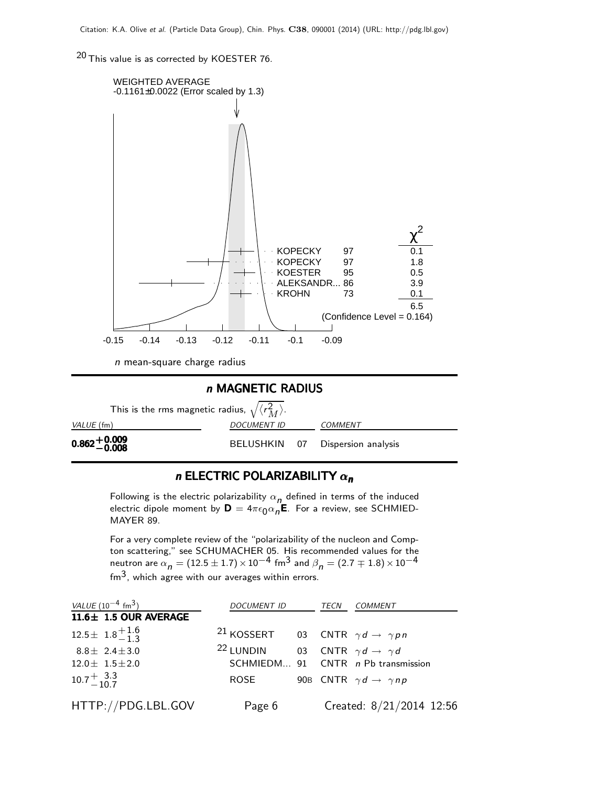20 This value is as corrected by KOESTER 76.





## n ELECTRIC POLARIZABILITY  $\alpha_n$

Following is the electric polarizability  $\alpha_{n}$  defined in terms of the induced electric dipole moment by  $\mathsf{D}=4\pi\epsilon_0\alpha_n\mathsf{E}$ . For a review, see SCHMIED-MAYER 89.

For a very complete review of the "polarizability of the nucleon and Compton scattering," see SCHUMACHER 05. His recommended values for the neutron are  $\alpha_n = (12.5 \pm 1.7) \times 10^{-4}$  fm<sup>3</sup> and  $\beta_n = (2.7 \mp 1.8) \times 10^{-4}$  $\sin^3$ , which agree with our averages within errors.

| VALUE $(10^{-4}$ fm <sup>3</sup> ) | <i>DOCUMENT ID</i>                                             | TECN | <i>COMMENT</i>                            |
|------------------------------------|----------------------------------------------------------------|------|-------------------------------------------|
| $11.6 \pm 1.5$ OUR AVERAGE         |                                                                |      |                                           |
| $12.5 \pm 1.8_{-1.3}^{+1.6}$       | <sup>21</sup> KOSSERT 03 CNTR $\gamma d \rightarrow \gamma pn$ |      |                                           |
| $8.8 \pm 2.4 \pm 3.0$              | <sup>22</sup> LUNDIN                                           |      | 03 CNTR $\gamma d \rightarrow \gamma d$   |
| $12.0 \pm 1.5 \pm 2.0$             |                                                                |      | SCHMIEDM 91 CNTR n Pb transmission        |
| $10.7 + \frac{3.3}{10.7}$          | ROSE                                                           |      | 90B CNTR $\gamma d \rightarrow \gamma np$ |
| HTTP://PDG.LBL.GOV                 | Page 6                                                         |      | Created: 8/21/2014 12:56                  |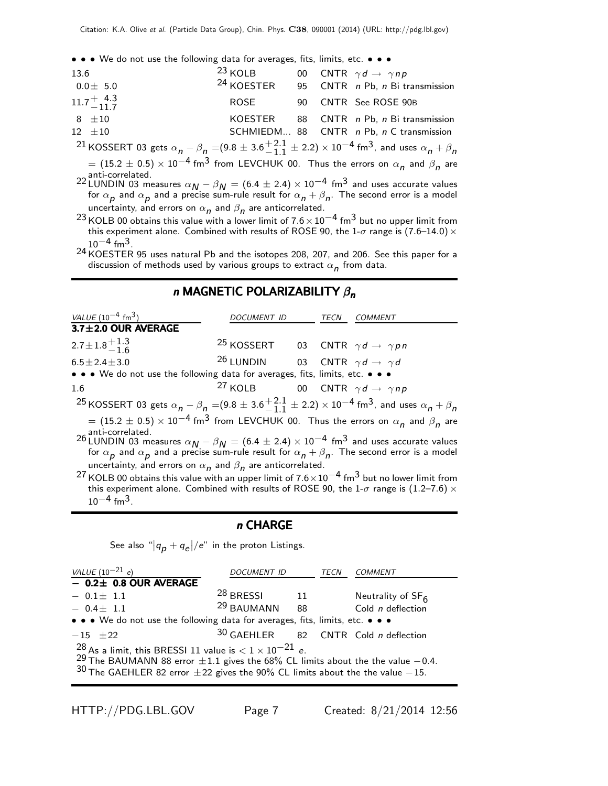• • • We do not use the following data for averages, fits, limits, etc. • • •

| 13.6                      | $23$ KOLB             |  | 00 CNTR $\gamma d \rightarrow \gamma np$ |
|---------------------------|-----------------------|--|------------------------------------------|
| $0.0\pm$ 5.0              | <sup>24</sup> KOESTER |  | 95 CNTR n Pb, n Bi transmission          |
| $11.7^{+\;4.3}_{-\;11.7}$ | ROSE                  |  | 90 CNTR See ROSE 90B                     |
| $8 + 10$                  |                       |  | KOESTER 88 CNTR n Pb, n Bi transmission  |
| $12 + 10$                 |                       |  | SCHMIEDM 88 CNTR n Pb, n C transmission  |
|                           |                       |  |                                          |

<sup>21</sup> KOSSERT 03 gets  $\alpha_{n}$  –  $\beta_{n}$  =(9.8  $\pm$  3.6 $^{+2.1}_{-1.1}$  $^{+2.1}_{-1.1}$   $\pm$  2.2)  $\times$  10 $^{-4}$  fm<sup>3</sup>, and uses  $\alpha$ <sub>n</sub>  $+$   $\beta$ <sub>n</sub>  $\alpha=(15.2\pm0.5)\times10^{-4}$  fm $^3$  from LEVCHUK 00. Thus the errors on  $\alpha_{\bm n}$  and  $\beta_{\bm n}$  are

anti-correlated.<br><sup>22</sup> LUNDIN 03 measures  $\alpha_{N} - \beta_{N} = (6.4 \pm 2.4) \times 10^{-4}$  fm<sup>3</sup> and uses accurate values for  $\alpha_{\bm p}$  and  $\alpha_{\bm p}$  and a precise sum-rule result for  $\alpha_{\bm n}+\beta_{\bm n}$ . The second error is a model uncertainty, and errors on  $\alpha_{\bm n}$  and  $\beta_{\bm n}$  are anticorrelated.

<sup>23</sup> KOLB 00 obtains this value with a lower limit of  $7.6 \times 10^{-4}$  fm<sup>3</sup> but no upper limit from this experiment alone. Combined with results of ROSE 90, the 1- $\sigma$  range is (7.6–14.0)  $\times$  $10^{-4}$  fm<sup>3</sup>.

 $^{24}$  KOESTER 95 uses natural Pb and the isotopes 208, 207, and 206. See this paper for a discussion of methods used by various groups to extract  $\alpha_{\bm n}$  from data.

#### n MAGNETIC POLARIZABILITY  $\beta_n$

| VALUE $(10^{-4}$ fm <sup>3</sup> )                                                                                                                                                                                                                           | DOCUMENT ID                                                    |  |  | TECN COMMENT |  |
|--------------------------------------------------------------------------------------------------------------------------------------------------------------------------------------------------------------------------------------------------------------|----------------------------------------------------------------|--|--|--------------|--|
| 3.7±2.0 OUR AVERAGE                                                                                                                                                                                                                                          |                                                                |  |  |              |  |
| $2.7 \pm 1.8 \pm 1.3$                                                                                                                                                                                                                                        | <sup>25</sup> KOSSERT 03 CNTR $\gamma d \rightarrow \gamma pn$ |  |  |              |  |
| $6.5 \pm 2.4 \pm 3.0$                                                                                                                                                                                                                                        | <sup>26</sup> LUNDIN 03 CNTR $\gamma d \rightarrow \gamma d$   |  |  |              |  |
| • • • We do not use the following data for averages, fits, limits, etc. • • •                                                                                                                                                                                |                                                                |  |  |              |  |
| 1.6                                                                                                                                                                                                                                                          | <sup>27</sup> KOLB 00 CNTR $\gamma d \rightarrow \gamma np$    |  |  |              |  |
| <sup>25</sup> KOSSERT 03 gets $\alpha_n - \beta_n = (9.8 \pm 3.6 \frac{+2.1}{-1.1} \pm 2.2) \times 10^{-4}$ fm <sup>3</sup> , and uses $\alpha_n + \beta_n$                                                                                                  |                                                                |  |  |              |  |
| $=$ (15.2 $\pm$ 0.5) $\times$ 10 <sup>-4</sup> fm <sup>3</sup> from LEVCHUK 00. Thus the errors on $\alpha_n$ and $\beta_n$ are                                                                                                                              |                                                                |  |  |              |  |
| anti-correlated.<br>26 LUNDIN 03 measures $\alpha_N - \beta_N = (6.4 \pm 2.4) \times 10^{-4}$ fm <sup>3</sup> and uses accurate values<br>for $\alpha_p$ and $\alpha_p$ and a precise sum-rule result for $\alpha_n + \beta_n$ . The second error is a model |                                                                |  |  |              |  |
| uncertainty, and errors on $\alpha_n$ and $\beta_n$ are anticorrelated.                                                                                                                                                                                      |                                                                |  |  |              |  |
| <sup>27</sup> KOLB 00 obtains this value with an upper limit of $7.6 \times 10^{-4}$ fm <sup>3</sup> but no lower limit from                                                                                                                                 |                                                                |  |  |              |  |

this experiment alone. Combined with results of ROSE 90, the 1- $\sigma$  range is (1.2–7.6)  $\times$  $10^{-4}$  fm<sup>3</sup>.

#### n CHARGE

See also " $|q_{\bm p}+q_{\bm e}|/e$ " in the proton Listings.

| VALUE $(10^{-21} e)$                                                                                                                                                                                                                                             | <b>DOCUMENT ID</b>   |    | <b>TECN</b> | COMMENT                                       |  |
|------------------------------------------------------------------------------------------------------------------------------------------------------------------------------------------------------------------------------------------------------------------|----------------------|----|-------------|-----------------------------------------------|--|
| $-$ 0.2 $\pm$ 0.8 OUR AVERAGE                                                                                                                                                                                                                                    |                      |    |             |                                               |  |
| $-0.1 \pm 1.1$                                                                                                                                                                                                                                                   | <sup>28</sup> BRESSL | 11 |             | Neutrality of $SF6$                           |  |
| $-0.4 \pm 1.1$                                                                                                                                                                                                                                                   | $29$ BAUMANN 88      |    |             | Cold $n$ deflection                           |  |
| • • • We do not use the following data for averages, fits, limits, etc. • • •                                                                                                                                                                                    |                      |    |             |                                               |  |
| $-15$ $\pm 22$                                                                                                                                                                                                                                                   |                      |    |             | $30$ GAEHLER 82 CNTR Cold <i>n</i> deflection |  |
| $^{28}$ As a limit, this BRESSI 11 value is $< 1 \times 10^{-21}$ e.<br><sup>29</sup> The BAUMANN 88 error $\pm 1.1$ gives the 68% CL limits about the the value $-0.4$ .<br>$30$ The GAEHLER 82 error $\pm 22$ gives the 90% CL limits about the the value -15. |                      |    |             |                                               |  |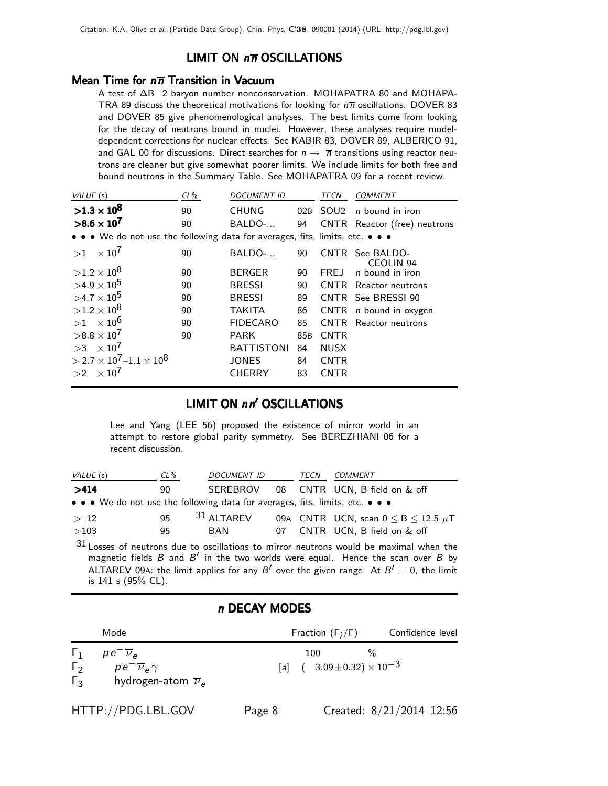## LIMIT ON  $n\overline{n}$  OSCILLATIONS

#### Mean Time for  $n\overline{n}$  Transition in Vacuum

A test of ∆B=2 baryon number nonconservation. MOHAPATRA 80 and MOHAPA-TRA 89 discuss the theoretical motivations for looking for  $n\overline{n}$  oscillations. DOVER 83 and DOVER 85 give phenomenological analyses. The best limits come from looking for the decay of neutrons bound in nuclei. However, these analyses require modeldependent corrections for nuclear effects. See KABIR 83, DOVER 89, ALBERICO 91, and GAL 00 for discussions. Direct searches for  $n \to \overline{n}$  transitions using reactor neutrons are cleaner but give somewhat poorer limits. We include limits for both free and bound neutrons in the Summary Table. See MOHAPATRA 09 for a recent review.

| VALUE (s)                                                                                                             | $CL\%$ | <b>DOCUMENT ID</b> |                 | TECN        | <b>COMMENT</b>                      |
|-----------------------------------------------------------------------------------------------------------------------|--------|--------------------|-----------------|-------------|-------------------------------------|
| $>1.3\times10^{8}$                                                                                                    | 90     | <b>CHUNG</b>       |                 | 02B SOU2    | n bound in iron                     |
| $>8.6 \times 10^{7}$                                                                                                  | 90     | BALDO-             | 94              |             | CNTR Reactor (free) neutrons        |
| $\bullet \bullet \bullet$ We do not use the following data for averages, fits, limits, etc. $\bullet \bullet \bullet$ |        |                    |                 |             |                                     |
| $\times$ 10 <sup>7</sup><br>>1                                                                                        | 90     | BALDO-             | 90              |             | CNTR See BALDO-<br><b>CEOLIN 94</b> |
| $>1.2\times10^{8}$                                                                                                    | 90     | <b>BERGER</b>      | 90              | FREJ        | <i>n</i> bound in iron              |
| $>4.9\times10^{5}$                                                                                                    | 90     | <b>BRESSI</b>      | 90              |             | <b>CNTR</b> Reactor neutrons        |
| $>4.7\times10^{5}$                                                                                                    | 90     | <b>BRESSI</b>      | 89              |             | CNTR See BRESSI 90                  |
| $>1.2\times10^{8}$                                                                                                    | 90     | <b>TAKITA</b>      | 86              | <b>CNTR</b> | <i>n</i> bound in oxygen            |
| $>1$ $\times$ 10 <sup>6</sup>                                                                                         | 90     | <b>FIDECARO</b>    | 85              | <b>CNTR</b> | Reactor neutrons                    |
| $>8.8\times10^{7}$                                                                                                    | 90     | <b>PARK</b>        | 85 <sub>B</sub> | <b>CNTR</b> |                                     |
| $>3 \times 10^7$                                                                                                      |        | <b>BATTISTONI</b>  | 84              | <b>NUSX</b> |                                     |
| $>$ 2.7 $\times$ 10 <sup>7</sup> –1.1 $\times$ 10 <sup>8</sup>                                                        |        | <b>JONES</b>       | 84              | <b>CNTR</b> |                                     |
| $\times$ 10 $^{\prime}$<br>>2                                                                                         |        | <b>CHERRY</b>      | 83              | <b>CNTR</b> |                                     |

## LIMIT ON nn' OSCILLATIONS

Lee and Yang (LEE 56) proposed the existence of mirror world in an attempt to restore global parity symmetry. See BEREZHIANI 06 for a recent discussion.

| VALUE (s)                                                                     | $CL\%$ | <i>DOCUMENT ID</i> |  | TECN | COMMENT                                       |
|-------------------------------------------------------------------------------|--------|--------------------|--|------|-----------------------------------------------|
| >414                                                                          | 90.    |                    |  |      | SEREBROV 08 CNTR UCN, B field on & off        |
| • • • We do not use the following data for averages, fits, limits, etc. • • • |        |                    |  |      |                                               |
| >12                                                                           | 95     | $31$ ALTAREV       |  |      | 09A CNTR UCN, scan $0 \leq B \leq 12.5 \mu T$ |
| >103                                                                          | 95     | <b>BAN</b>         |  |      | 07 CNTR UCN, B field on & off                 |

31 Losses of neutrons due to oscillations to mirror neutrons would be maximal when the magnetic fields  $B$  and  $B'$  in the two worlds were equal. Hence the scan over  $B$  by ALTAREV 09A: the limit applies for any B' over the given range. At  $B' = 0$ , the limit is 141 s (95% CL).

## n DECAY MODES

|                                              | Mode                                                                                                      | Fraction $(\Gamma_i/\Gamma)$                                 | Confidence level |
|----------------------------------------------|-----------------------------------------------------------------------------------------------------------|--------------------------------------------------------------|------------------|
| $\mathbf{1}_{1}$<br>$\Gamma_2$<br>$\Gamma_3$ | $pe^{\overline{\nu}}$ <sub>e</sub><br>$pe^{-\overline{\nu}_e \gamma}$<br>hydrogen-atom $\overline{\nu}_e$ | $\frac{0}{2}$<br>100<br>[a] $(3.09 \pm 0.32) \times 10^{-3}$ |                  |
|                                              |                                                                                                           |                                                              |                  |

HTTP://PDG.LBL.GOV Page 8 Created: 8/21/2014 12:56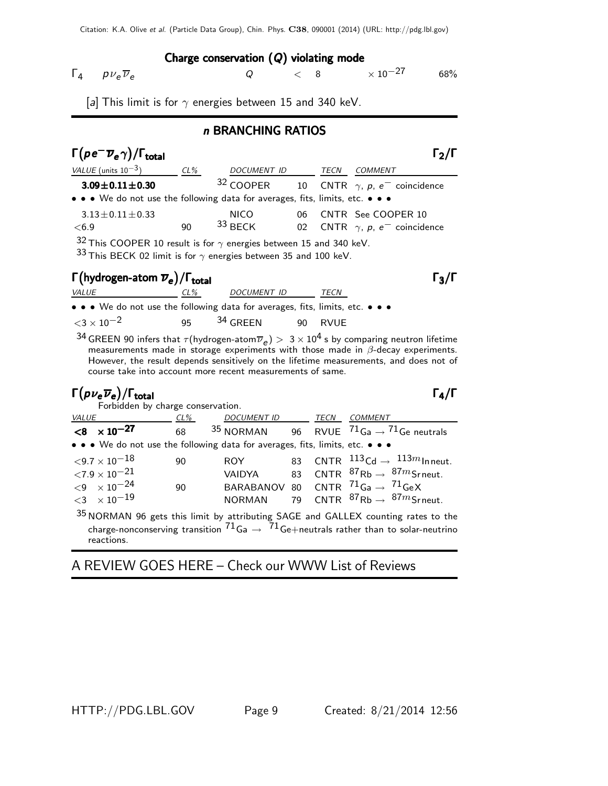## Charge conservation (Q) violating mode

 $\Gamma_4$   $p v_e \overline{v}_e$   $Q$   $\lt$  8  $\times 10^{-27}$  68%

[a] This limit is for  $\gamma$  energies between 15 and 340 keV.

## n BRANCHING RATIOS

| $\Gamma(\rho e^- \overline{\nu}_e \gamma)/\Gamma_{\rm total}$                 |        |             |    |      | $\Gamma_2/\Gamma$                                |
|-------------------------------------------------------------------------------|--------|-------------|----|------|--------------------------------------------------|
| VALUE (units $10^{-3}$ )                                                      | $CL\%$ | DOCUMENT ID |    | TECN | COMMENT                                          |
| $3.09 \pm 0.11 \pm 0.30$                                                      |        | $32$ COOPER |    |      | 10 CNTR $\gamma$ , p, e <sup>-</sup> coincidence |
| • • • We do not use the following data for averages, fits, limits, etc. • • • |        |             |    |      |                                                  |
| $3.13 \pm 0.11 \pm 0.33$                                                      |        | <b>NICO</b> | ᲘᲠ |      | CNTR See COOPER 10                               |
| < 6.9                                                                         | 90     | $33$ BFCK   | 02 |      | CNTR $\gamma$ , p, e <sup>-</sup> coincidence    |
| $\sim$ $\sim$                                                                 |        |             |    |      |                                                  |

 $32$  This COOPER 10 result is for  $\gamma$  energies between 15 and 340 keV.

33 This BECK 02 limit is for  $\gamma$  energies between 35 and 100 keV.

# $\Gamma(\text{hydrogen-atom }\overline{\nu}_e)/\Gamma_\text{total}$

VALUE CL% DOCUMENT ID TECN • • • We do not use the following data for averages, fits, limits, etc. • • •  $<$ 3  $\times$  10<sup>-2</sup> 95 <sup>34</sup> GREEN 90 RVUE

 $^{34}$  GREEN 90 infers that  $\tau$ (hydrogen-atom $\overline{\nu}_e)>~3\times10^4$  s by comparing neutron lifetime measurements made in storage experiments with those made in  $\beta$ -decay experiments. However, the result depends sensitively on the lifetime measurements, and does not of course take into account more recent measurements of same.

# $\Gamma(p\nu_e\overline{\nu}_e)/\Gamma_{\rm total}$ Γ

Forbidden by charge conservation. VALUE CL% DOCUMENT ID TECN COMMENT  $\overline{**8** \times 10^{-27}}$  68 35 NORMAN 96 RVUE  $\overline{71_{Ga} \rightarrow 71_{Ge}}$  neutrals • • • We do not use the following data for averages, fits, limits, etc. • • •  $\langle 9.7 \times 10^{-18}$  90 ROY 83 CNTR  $^{113}$ Cd →  $^{113}$ mInneut.  $\langle 7.9 \times 10^{-21}$  VAIDYA 83 CNTR  $^{87}$ Rb →  $^{87}m$ Srneut.  $<$ 9  $\times$  10<sup>-24</sup> 90 BARABANOV 80 CNTR <sup>71</sup>Ga → <sup>71</sup>GeX<br>  $<$ 3  $\times$  10<sup>-19</sup> NORMAN 79 CNTR <sup>87</sup>Rb → <sup>87</sup>mSr NORMAN 79 CNTR  ${}^{87}$ Rb →  ${}^{87}$ mSrneut. 35 NORMAN 96 gets this limit by attributing SAGE and GALLEX counting rates to the

charge-nonconserving transition  $71_{Ga} \rightarrow 71_{Ge+}$ neutrals rather than to solar-neutrino reactions.

# A REVIEW GOES HERE – Check our WWW List of Reviews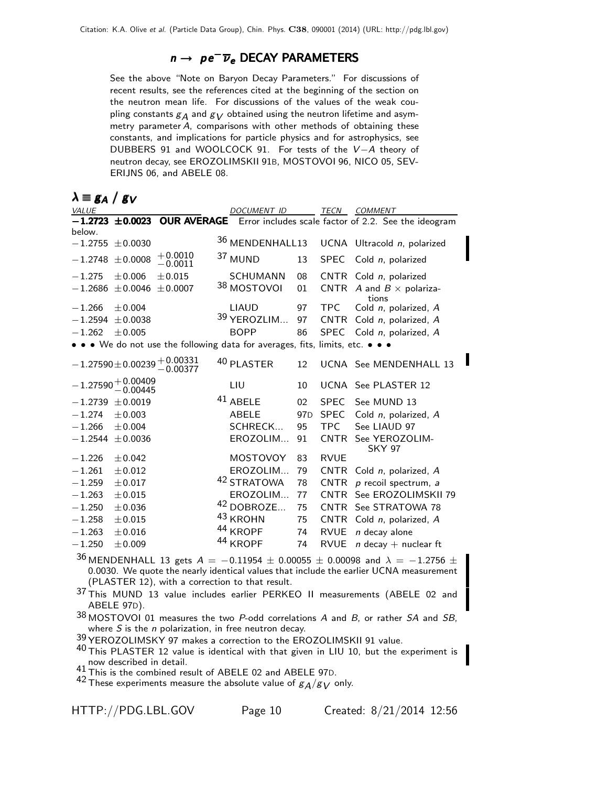## $n \rightarrow p e^{-} \overline{\nu}_{e}$  DECAY PARAMETERS

See the above "Note on Baryon Decay Parameters." For discussions of recent results, see the references cited at the beginning of the section on the neutron mean life. For discussions of the values of the weak coupling constants  $g_A$  and  $g_V$  obtained using the neutron lifetime and asymmetry parameter A, comparisons with other methods of obtaining these constants, and implications for particle physics and for astrophysics, see DUBBERS 91 and WOOLCOCK 91. For tests of the V-A theory of neutron decay, see EROZOLIMSKII 91B, MOSTOVOI 96, NICO 05, SEV-ERIJNS 06, and ABELE 08.

| $\lambda \equiv g_A / g_V$ |                                  |                                    |                                                                               |                 |             |                                                                         |
|----------------------------|----------------------------------|------------------------------------|-------------------------------------------------------------------------------|-----------------|-------------|-------------------------------------------------------------------------|
| VALUE                      |                                  |                                    | <b>DOCUMENT ID</b>                                                            |                 | TECN        | <b>COMMENT</b>                                                          |
|                            | $-1.2723 \pm 0.0023$             |                                    |                                                                               |                 |             | <b>OUR AVERAGE</b> Error includes scale factor of 2.2. See the ideogram |
| below.                     |                                  |                                    |                                                                               |                 |             |                                                                         |
|                            | $-1.2755 \pm 0.0030$             |                                    | 36 MENDENHALL13                                                               |                 |             | UCNA Ultracold n, polarized                                             |
| $-1.2748$                  | ± 0.0008                         | $+0.0010$<br>$-0.0011$             | 37 MUND                                                                       | 13              | <b>SPEC</b> | Cold n, polarized                                                       |
| $-1.275$                   | ± 0.006                          | $\pm 0.015$                        | <b>SCHUMANN</b>                                                               | 08              |             | CNTR Cold $n$ , polarized                                               |
| $-1.2686$                  | ± 0.0046                         | ± 0.0007                           | 38 MOSTOVOI                                                                   | 01              | <b>CNTR</b> | A and $B \times$ polariza-<br>tions                                     |
| $-1.266$                   | ±0.004                           |                                    | <b>LIAUD</b>                                                                  | 97              | <b>TPC</b>  | Cold n, polarized, A                                                    |
| $-1.2594$                  | ± 0.0038                         |                                    | 39 YEROZLIM                                                                   | 97              | CNTR        | Cold n, polarized, A                                                    |
| $-1.262$                   | ± 0.005                          |                                    | <b>BOPP</b>                                                                   | 86              | <b>SPEC</b> | Cold n, polarized, A                                                    |
|                            |                                  |                                    | • • • We do not use the following data for averages, fits, limits, etc. • • • |                 |             |                                                                         |
|                            |                                  | $-1.27590 \pm 0.00239 \, +0.00331$ | 40 PLASTER                                                                    | 12              |             | UCNA See MENDENHALL 13                                                  |
|                            | $-1.27590 + 0.00409$<br>-0.00445 |                                    | LIU                                                                           | 10              |             | UCNA See PLASTER 12                                                     |
|                            | $-1.2739 \pm 0.0019$             |                                    | <sup>41</sup> ABELE                                                           | 02              | <b>SPEC</b> | See MUND 13                                                             |
| $-1.274$                   | $\pm 0.003$                      |                                    | <b>ABELE</b>                                                                  | 97 <sub>D</sub> | <b>SPEC</b> | Cold n, polarized, A                                                    |
| $-1.266$                   | ±0.004                           |                                    | SCHRECK                                                                       | 95              | TPC         | See LIAUD 97                                                            |
| $-1.2544$                  | ± 0.0036                         |                                    | EROZOLIM                                                                      | 91              | <b>CNTR</b> | See YEROZOLIM-<br><b>SKY 97</b>                                         |
| $-1.226$                   | ±0.042                           |                                    | <b>MOSTOVOY</b>                                                               | 83              | <b>RVUE</b> |                                                                         |
| $-1.261$                   | $\pm 0.012$                      |                                    | EROZOLIM                                                                      | 79              | <b>CNTR</b> | Cold n, polarized, A                                                    |
| $-1.259$                   | $\pm 0.017$                      |                                    | <sup>42</sup> STRATOWA                                                        | 78              | <b>CNTR</b> | $p$ recoil spectrum, $a$                                                |
| $-1.263$                   | $\pm 0.015$                      |                                    | EROZOLIM                                                                      | 77              | <b>CNTR</b> | See EROZOLIMSKII 79                                                     |
| $-1.250$                   | ± 0.036                          |                                    | 42 DOBROZE                                                                    | 75              | <b>CNTR</b> | See STRATOWA 78                                                         |
| $-1.258$                   | $\pm 0.015$                      |                                    | <sup>43</sup> KROHN                                                           | 75              | <b>CNTR</b> | Cold n, polarized, A                                                    |
| $-1.263$                   | $\pm 0.016$                      |                                    | 44 KROPF                                                                      | 74              | <b>RVUE</b> | $n$ decay alone                                                         |
| $-1.250$                   | ± 0.009                          |                                    | <sup>44</sup> KROPF                                                           | 74              | <b>RVUE</b> | $n$ decay + nuclear ft                                                  |

36 MENDENHALL 13 gets  $A = -0.11954 \pm 0.00055 \pm 0.00098$  and  $\lambda = -1.2756 \pm 0.00098$ 0.0030. We quote the nearly identical values that include the earlier UCNA measurement (PLASTER 12), with a correction to that result.

37 This MUND 13 value includes earlier PERKEO II measurements (ABELE 02 and ABELE 97D).

 $38$  MOSTOVOI 01 measures the two P-odd correlations A and B, or rather SA and SB, where  $S$  is the  $n$  polarization, in free neutron decay.

39 YEROZOLIMSKY 97 makes a correction to the EROZOLIMSKII 91 value.

 $40$  This PLASTER 12 value is identical with that given in LIU 10, but the experiment is now described in detail.

41 This is the combined result of ABELE 02 and ABELE 97D.

42 These experiments measure the absolute value of  $g_A/g_V$  only.

HTTP://PDG.LBL.GOV Page 10 Created: 8/21/2014 12:56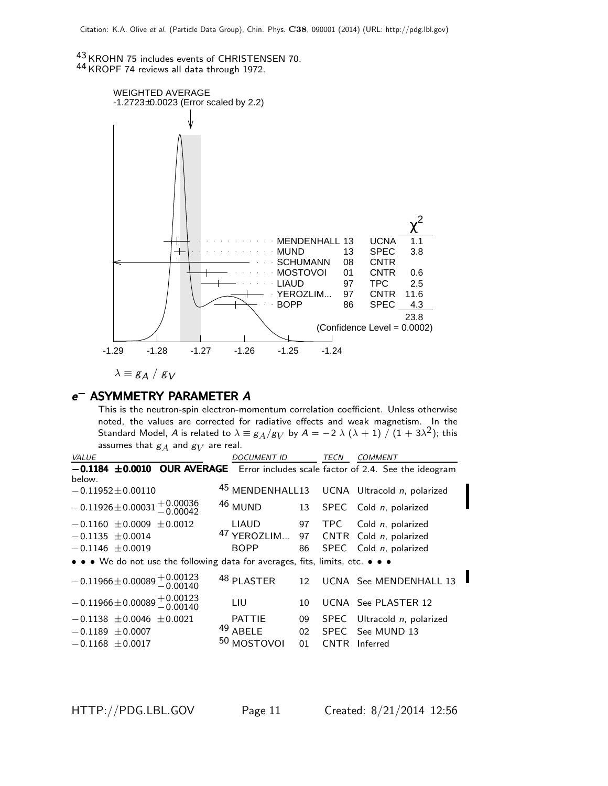43 KROHN 75 includes events of CHRISTENSEN 70. 44 KROPF 74 reviews all data through 1972.



$$
\lambda \equiv g_A \ / \ g_V
$$

# e<sup>-</sup> ASYMMETRY PARAMETER A

This is the neutron-spin electron-momentum correlation coefficient. Unless otherwise noted, the values are corrected for radiative effects and weak magnetism. In the Standard Model,  $A$  is related to  $\lambda \equiv g_A/g_V$  by  $A=-2\;\lambda\;(\lambda+1)\;/\;(1+3\lambda^2);$  this assumes that  $\mathcal{g}_{A}$  and  $\mathcal{g}_{V}$  are real.

| VALUE                                                                            | <b>DOCUMENT ID</b>        | TECN       | <b>COMMENT</b>                              |
|----------------------------------------------------------------------------------|---------------------------|------------|---------------------------------------------|
| -0.1184 ±0.0010 OUR AVERAGE Error includes scale factor of 2.4. See the ideogram |                           |            |                                             |
| below.                                                                           |                           |            |                                             |
| $-0.11952 \pm 0.00110$                                                           |                           |            | 45 MENDENHALL13 UCNA Ultracold n, polarized |
| $-0.11926 \pm 0.00031 \pm 0.00036$                                               | 46 MUND                   | 13         | SPEC Cold n, polarized                      |
| $-0.1160 \pm 0.0009 \pm 0.0012$                                                  | LIAUD 97                  |            | TPC Cold n, polarized                       |
| $-0.1135 \pm 0.0014$                                                             | <sup>47</sup> YEROZLIM 97 |            | CNTR Cold $n$ , polarized                   |
| $-0.1146 \pm 0.0019$                                                             | <b>BOPP</b>               | 86         | SPEC Cold n, polarized                      |
| • • • We do not use the following data for averages, fits, limits, etc. • • •    |                           |            |                                             |
| $-0.11966 \pm 0.00089 \begin{array}{l} +0.00123 \\ -0.00140 \end{array}$         | 48 PLASTER                | 12         | UCNA See MENDENHALL 13                      |
| $-0.11966 \pm 0.00089 \, {}^{+0.00123}_{-0.00140}$                               | LIU                       | 10         | UCNA See PLASTER 12                         |
| $-0.1138 \pm 0.0046 \pm 0.0021$                                                  | <b>PATTIE</b>             | 09         | SPEC Ultracold n, polarized                 |
| $-0.1189 \pm 0.0007$                                                             | 49 ABELE                  | 02         | SPEC See MUND 13                            |
| $-0.1168 \pm 0.0017$                                                             | 50 MOSTOVOI               | 01<br>CNTR | Inferred                                    |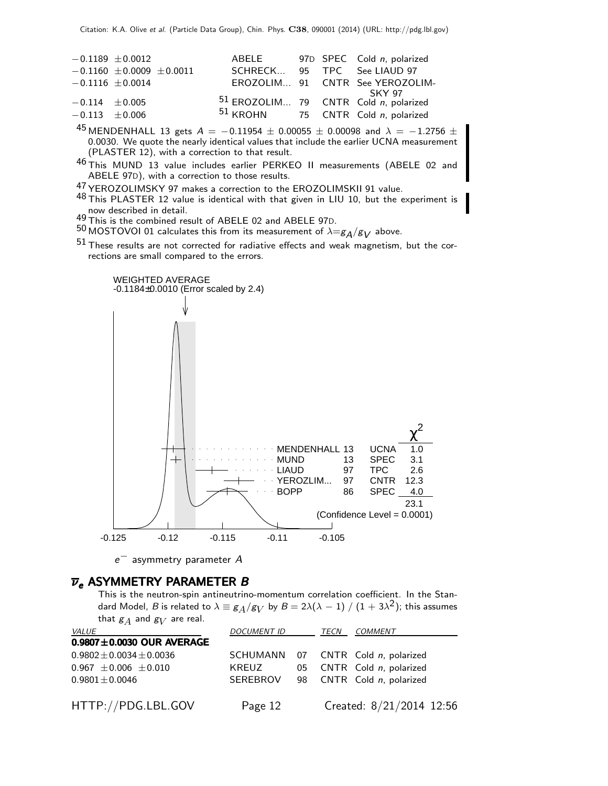|                    | $-0.1189 + 0.0012$              | ABELE                                                 |  | 97D SPEC Cold n, polarized      |
|--------------------|---------------------------------|-------------------------------------------------------|--|---------------------------------|
|                    | $-0.1160 \pm 0.0009 \pm 0.0011$ | SCHRECK 95 TPC See LIAUD 97                           |  |                                 |
|                    | $-0.1116 \pm 0.0014$            |                                                       |  | EROZOLIM 91 CNTR See YEROZOLIM- |
|                    |                                 |                                                       |  | SKY 97                          |
| $-0.114 + 0.005$   |                                 | $51$ EROZOLIM 79 CNTR Cold n, polarized               |  |                                 |
| $-0.113 \pm 0.006$ |                                 | <sup>51</sup> KROHN 75 CNTR Cold <i>n</i> , polarized |  |                                 |

45 MENDENHALL 13 gets  $A = -0.11954 \pm 0.00055 \pm 0.00098$  and  $\lambda = -1.2756 \pm 0.00098$ 0.0030. We quote the nearly identical values that include the earlier UCNA measurement (PLASTER 12), with a correction to that result.

46 This MUND 13 value includes earlier PERKEO II measurements (ABELE 02 and ABELE 97D), with a correction to those results.

47 YEROZOLIMSKY 97 makes a correction to the EROZOLIMSKII 91 value.

48 This PLASTER 12 value is identical with that given in LIU 10, but the experiment is now described in detail.<br>49 This is the combined result of ABELE 02 and ABELE 97D.

50 MOSTOVOI 01 calculates this from its measurement of  $\lambda = g_A/g_V$  above.

 $51$  These results are not corrected for radiative effects and weak magnetism, but the corrections are small compared to the errors.



 $e^-$  asymmetry parameter  $A$ 

## $\overline{\nu}_e$  ASYMMETRY PARAMETER B

This is the neutron-spin antineutrino-momentum correlation coefficient. In the Standard Model,  $B$  is related to  $\lambda\equiv g_A/g_V$  by  $B=2\lambda(\lambda-1)\mathbin{/} (1+3\lambda^2)$ ; this assumes that  $\mathcal{g}_A$  and  $\mathcal{g}_V$  are real.

| <i>VALUE</i>                    | <b>DOCUMENT ID</b> |  | TECN | COMMENT                            |  |
|---------------------------------|--------------------|--|------|------------------------------------|--|
| $0.9807 \pm 0.0030$ OUR AVERAGE |                    |  |      |                                    |  |
| $0.9802 \pm 0.0034 \pm 0.0036$  |                    |  |      | SCHUMANN 07 CNTR Cold n, polarized |  |
| $0.967 \pm 0.006 \pm 0.010$     | KREUZ              |  |      | 05 CNTR Cold n, polarized          |  |
| $0.9801 \pm 0.0046$             |                    |  |      | SEREBROV 98 CNTR Cold n, polarized |  |
|                                 |                    |  |      |                                    |  |
| HTTP://PDG.LBL.GOV              | Page 12            |  |      | Created: 8/21/2014 12:56           |  |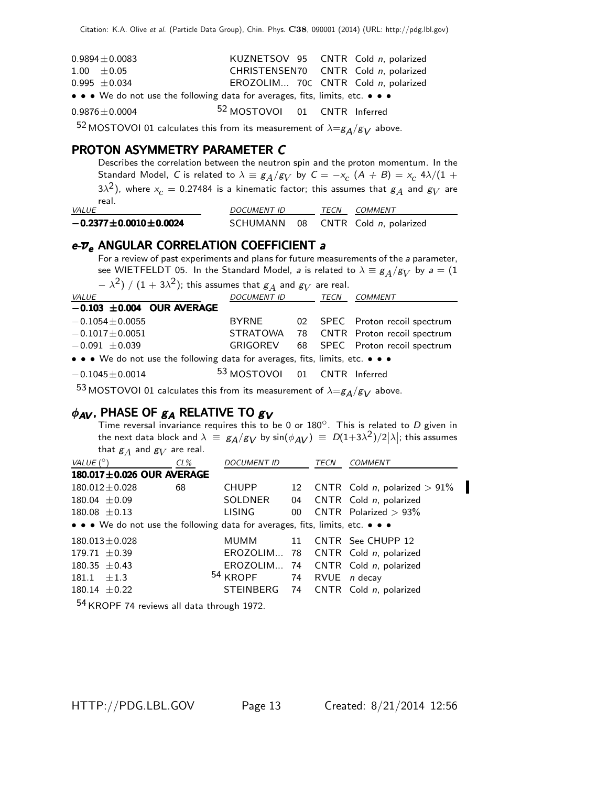| $0.9894 \pm 0.0083$                                                                                                   | KUZNETSOV 95 CNTR Cold n, polarized     |  |
|-----------------------------------------------------------------------------------------------------------------------|-----------------------------------------|--|
| $1.00 \pm 0.05$                                                                                                       | CHRISTENSEN70 CNTR Cold n, polarized    |  |
| $0.995 \pm 0.034$                                                                                                     | EROZOLIM 70C CNTR Cold n, polarized     |  |
| $\bullet \bullet \bullet$ We do not use the following data for averages, fits, limits, etc. $\bullet \bullet \bullet$ |                                         |  |
| $0.9876 \pm 0.0004$                                                                                                   | <sup>52</sup> MOSTOVOI 01 CNTR Inferred |  |
| $ \sim$                                                                                                               |                                         |  |

<sup>52</sup> MOSTOVOI 01 calculates this from its measurement of  $\lambda = g_A/g_V$  above.

#### PROTON ASYMMETRY PARAMETER C

Describes the correlation between the neutron spin and the proton momentum. In the Standard Model, C is related to  $\lambda \equiv g_A/g_V$  by  $C = -x_c$   $(A + B) = x_c$  4 $\lambda/(1 +$ 3 $\lambda^2$ ), where  $x_c=$  0.27484 is a kinematic factor; this assumes that  $\overline{\mathcal{g}_A}$  and  $\overline{\mathcal{g}_V}$  are real.

| <b>VALUE</b>                    | <b>DOCUMENT ID</b> | <b>TECN COMMENT</b>                |
|---------------------------------|--------------------|------------------------------------|
| $-0.2377 \pm 0.0010 \pm 0.0024$ |                    | SCHUMANN 08 CNTR Cold n, polarized |

## e- $\overline{\nu}_e$  ANGULAR CORRELATION COEFFICIENT a

For a review of past experiments and plans for future measurements of the a parameter, see WIETFELDT 05. In the Standard Model, *a* is related to  $\lambda \equiv g_A/g_V$  by  $a = (1, 1)$ 

 $- \lambda^2)$  /  $(1 + 3\lambda^2)$ ; this assumes that  $g_A$  and  $g_V$  are real.

| VALUE                                                                         | <b>DOCUMENT ID</b>                      | TECN | COMMENT                                 |
|-------------------------------------------------------------------------------|-----------------------------------------|------|-----------------------------------------|
| $-0.103 \pm 0.004$ OUR AVERAGE                                                |                                         |      |                                         |
| $-0.1054 \pm 0.0055$                                                          | BYRNE                                   |      | 02 SPEC Proton recoil spectrum          |
| $-0.1017 \pm 0.0051$                                                          |                                         |      | STRATOWA 78 CNTR Proton recoil spectrum |
| $-0.091 \pm 0.039$                                                            | GRIGOREV                                |      | 68 SPEC Proton recoil spectrum          |
| • • • We do not use the following data for averages, fits, limits, etc. • • • |                                         |      |                                         |
| $-0.1045 \pm 0.0014$                                                          | <sup>53</sup> MOSTOVOI 01 CNTR Inferred |      |                                         |

53 MOSTOVOI 01 calculates this from its measurement of  $\lambda = g_A/g_V$  above.

## $\phi_{AV}$ , PHASE OF  $g_A$  RELATIVE TO  $g_V$

Time reversal invariance requires this to be 0 or  $180^\circ$ . This is related to D given in the next data block and  $\lambda \equiv g_A/g_V$  by  $\sin(\phi_{AV}) \equiv D(1+3\lambda^2)/2|\lambda|$ ; this assumes that  $\mathcal{g}_A$  and  $\mathcal{g}_V$  are real.

| VALUE $(^\circ)$                                                              | $CL\%$ | <b>DOCUMENT ID</b>  |                 | TECN | COMMENT                             |
|-------------------------------------------------------------------------------|--------|---------------------|-----------------|------|-------------------------------------|
| 180.017±0.026 OUR AVERAGE                                                     |        |                     |                 |      |                                     |
| $180.012 \pm 0.028$                                                           | 68     | <b>CHUPP</b>        |                 |      | 12 CNTR Cold n, polarized $> 91\%$  |
| $180.04 \pm 0.09$                                                             |        | SOLDNER             |                 |      | 04 CNTR Cold n, polarized           |
| $180.08 \pm 0.13$                                                             |        | <b>LISING</b>       | 00 <sup>1</sup> |      | CNTR Polarized $> 93\%$             |
| • • • We do not use the following data for averages, fits, limits, etc. • • • |        |                     |                 |      |                                     |
| $180.013 \pm 0.028$                                                           |        |                     |                 |      | MUMM 11 CNTR See CHUPP 12           |
| $179.71 \pm 0.39$                                                             |        |                     |                 |      | EROZOLIM 78 CNTR Cold n, polarized  |
| $180.35 \pm 0.43$                                                             |        |                     |                 |      | EROZOLIM 74 CNTR Cold n, polarized  |
| $181.1 + 1.3$                                                                 |        | <sup>54</sup> KROPF |                 |      | 74 RVUE <i>n</i> decay              |
| $180.14 \pm 0.22$                                                             |        |                     |                 |      | STEINBERG 74 CNTR Cold n, polarized |
| $\Box$                                                                        |        |                     |                 |      |                                     |

<sup>34</sup> KROPF 74 reviews all data through 1972.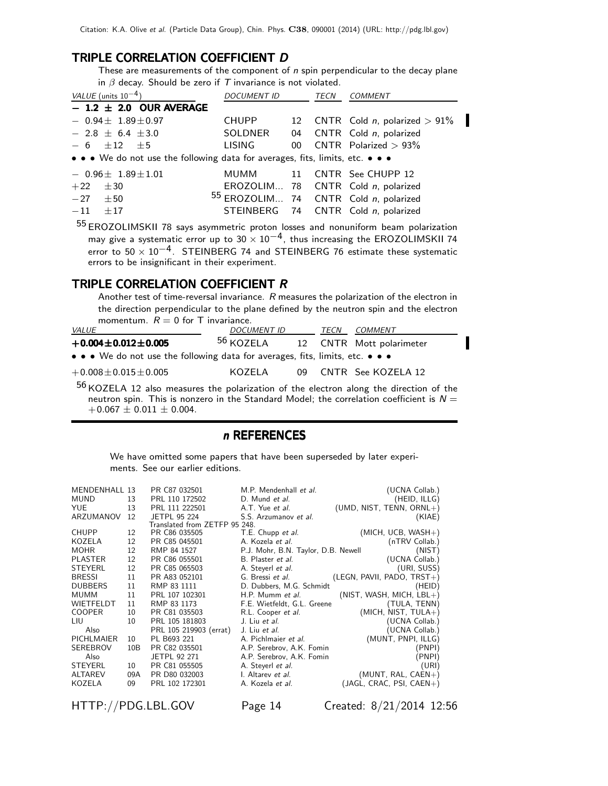#### TRIPLE CORRELATION COEFFICIENT D

These are measurements of the component of  $n$  spin perpendicular to the decay plane in  $\beta$  decay. Should be zero if  $T$  invariance is not violated.

| VALUE (units $10^{-4}$ )                                                      | <b>DOCUMENT ID</b> |  | TECN | COMMENT                               |  |  |
|-------------------------------------------------------------------------------|--------------------|--|------|---------------------------------------|--|--|
| $-1.2 \pm 2.0$ OUR AVERAGE                                                    |                    |  |      |                                       |  |  |
| $-0.94 \pm 1.89 \pm 0.97$                                                     | CHUPP              |  |      | 12 CNTR Cold n, polarized $> 91\%$    |  |  |
| $-2.8 \pm 6.4 \pm 3.0$                                                        | SOLDNER            |  |      | 04 CNTR Cold n, polarized             |  |  |
| $-6$ $\pm 12$ $\pm 5$                                                         | LISING             |  |      | 00 $\text{CNTR}$ Polarized > 93%      |  |  |
| • • • We do not use the following data for averages, fits, limits, etc. • • • |                    |  |      |                                       |  |  |
| $-0.96\pm 1.89\pm 1.01$                                                       |                    |  |      | MUMM 11 CNTR See CHUPP 12             |  |  |
| $+22$<br>$\pm 30$                                                             |                    |  |      | EROZOLIM 78 CNTR Cold n, polarized    |  |  |
| $-27 \pm 50$                                                                  |                    |  |      | 55 EROZOLIM 74 CNTR Cold n, polarized |  |  |
| $-11$<br>$+17$                                                                |                    |  |      | STEINBERG 74 CNTR Cold n, polarized   |  |  |
|                                                                               |                    |  |      |                                       |  |  |

55 EROZOLIMSKII 78 says asymmetric proton losses and nonuniform beam polarization may give a systematic error up to  $30 \times 10^{-4}$ , thus increasing the EROZOLIMSKII 74 error to  $50 \times 10^{-4}$ . STEINBERG 74 and STEINBERG 76 estimate these systematic errors to be insignificant in their experiment.

#### TRIPLE CORRELATION COEFFICIENT R

Another test of time-reversal invariance. R measures the polarization of the electron in the direction perpendicular to the plane defined by the neutron spin and the electron momentum.  $R = 0$  for T invariance.

| <i>VALUE</i>                                                                  | <b>DOCUMENT ID</b>   | TECN | COMMENT                  |
|-------------------------------------------------------------------------------|----------------------|------|--------------------------|
| $+0.004 \pm 0.012 \pm 0.005$                                                  | <sup>56</sup> KOZELA |      | 12 CNTR Mott polarimeter |
| • • • We do not use the following data for averages, fits, limits, etc. • • • |                      |      |                          |
| $+0.008 \pm 0.015 \pm 0.005$                                                  | KOZELA               |      | 09 CNTR See KOZELA 12    |

56 KOZELA 12 also measures the polarization of the electron along the direction of the neutron spin. This is nonzero in the Standard Model; the correlation coefficient is  $N =$  $+0.067 \pm 0.011 \pm 0.004$ .

## n REFERENCES

We have omitted some papers that have been superseded by later experiments. See our earlier editions.

| MENDENHALL 13     |     | PR C87 032501                 | M.P. Mendenhall et al.              | (UCNA Collab.)               |
|-------------------|-----|-------------------------------|-------------------------------------|------------------------------|
| <b>MUND</b>       | 13  | PRL 110 172502                | D. Mund et al.                      | (HEID, ILLG)                 |
| <b>YUE</b>        | 13  | PRL 111 222501                | A.T. Yue et al.                     | (UMD, NIST, TENN, $ORNL+$ )  |
| ARZUMANOV         | 12  | <b>JETPL 95 224</b>           | S.S. Arzumanov et al.               | (KIAE)                       |
|                   |     | Translated from ZETFP 95 248. |                                     |                              |
| CHUPP             | 12  | PR C86 035505                 | T.E. Chupp et al.                   | $(MICH, UCB, WASH+)$         |
| KOZELA            | 12  | PR C85 045501                 | A. Kozela <i>et al.</i>             | (nTRV Collab.)               |
| <b>MOHR</b>       | 12  | RMP 84 1527                   | P.J. Mohr, B.N. Taylor, D.B. Newell | (NIST)                       |
| <b>PLASTER</b>    | 12  | PR C86 055501                 | B. Plaster et al.                   | (UCNA Collab.)               |
| <b>STEYERL</b>    | 12  | PR C85 065503                 | A. Steverl et al.                   | (URI, SUSS)                  |
| <b>BRESSI</b>     | 11  | PR A83 052101                 | G. Bressi <i>et al.</i>             | $(LEGN, PAVII, PADO, TRST+)$ |
| <b>DUBBERS</b>    | 11  | RMP 83 1111                   | D. Dubbers, M.G. Schmidt            | (HEID)                       |
| <b>MUMM</b>       | 11  | PRL 107 102301                | H.P. Mumm et al.                    | $(NIST, WASH, MICH, LBL+)$   |
| <b>WIETFELDT</b>  | 11  | RMP 83 1173                   | F.E. Wietfeldt, G.L. Greene         | (TULA, TENN)                 |
| <b>COOPER</b>     | 10  | PR C81 035503                 | R.L. Cooper et al.                  | $(MICH, NIST, TULA+)$        |
| LIU               | 10  | PRL 105 181803                | J. Liu et al.                       | (UCNA Collab.)               |
| Also              |     | PRL 105 219903 (errat)        | J. Liu et al.                       | (UCNA Collab.)               |
| <b>PICHLMAIER</b> | 10  | PL B693 221                   | A. Pichlmaier et al.                | (MUNT, PNPI, ILLG)           |
| <b>SEREBROV</b>   | 10B | PR C82 035501                 | A.P. Serebrov, A.K. Fomin           | (PNPI)                       |
| Also              |     | JETPL 92 271                  | A.P. Serebrov, A.K. Fomin           | (PNPI)                       |
| <b>STEYERL</b>    | 10  | PR C81 055505                 | A. Steverl et al.                   | (URI)                        |
| <b>ALTAREV</b>    | 09A | PR D80 032003                 | I. Altarev et al.                   | $(MUNT, RAL, CAEN+)$         |
| KOZELA            | 09  | PRL 102 172301                | A. Kozela et al.                    | (JAGL, CRAC, PSI, CAEN+)     |
|                   |     |                               |                                     |                              |

HTTP://PDG.LBL.GOV Page 14 Created: 8/21/2014 12:56

I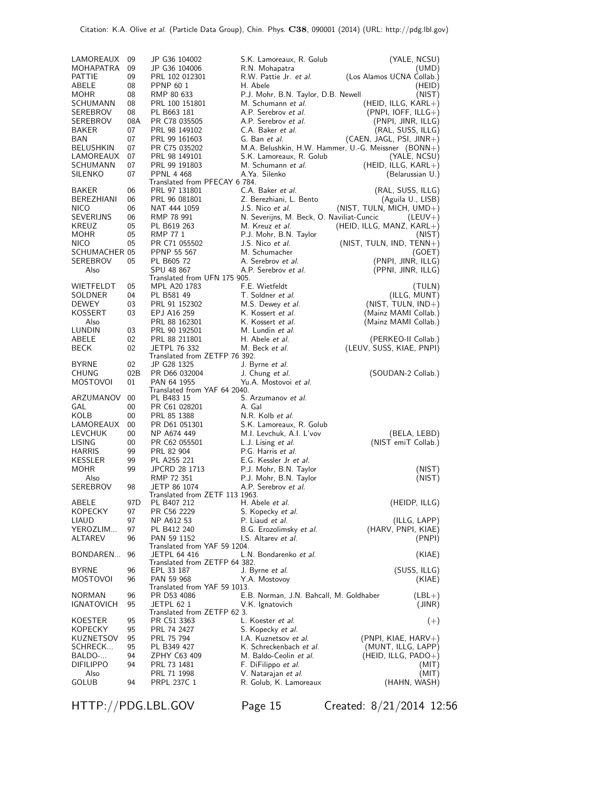| LAMOREAUX         | 09        | JP G36 104002                                | S.K. Lamoreaux, R. Golub                             | (YALE, NCSU)                                        |
|-------------------|-----------|----------------------------------------------|------------------------------------------------------|-----------------------------------------------------|
| MOHAPATRA         | 09        | JP G36 104006                                | R.N. Mohapatra                                       | (UMD)                                               |
| PATTIE            | 09        | PRL 102 012301                               | R.W. Pattie Jr. <i>et al.</i>                        | (Los Alamos UCNA Collab.)                           |
| ABELE             | 08        | PPNP 60 1                                    | H. Abele                                             | (HEID)                                              |
| MOHR              | 08        | RMP 80 633                                   | P.J. Mohr, B.N. Taylor, D.B. Newell                  | (NIST)                                              |
| SCHUMANN          | 08        | PRL 100 151801                               | M. Schumann et al.                                   | (HEID, ILLG, $KARL+$ )                              |
| SEREBROV          | 08        | PL B663 181                                  | A.P. Serebrov et al.                                 | $(PNPI, IOFF, ILLG+)$                               |
| SEREBROV<br>BAKER | 08A<br>07 | PR C78 035505<br>PRL 98 149102               | A.P. Serebrov et al.<br>C.A. Baker et al.            | (PNPI, JINR, ILLG)                                  |
| BAN               | 07        | PRL 99 161603                                | G. Ban et al.                                        | (RAL, SUSS, ILLG)<br>(CAEN, JAGL, PSI, JINR+)       |
| <b>BELUSHKIN</b>  | 07        | PR C75 035202                                |                                                      | M.A. Belushkin, H.W. Hammer, U.-G. Meissner (BONN+) |
| LAMOREAUX         | 07        | PRL 98 149101                                | S.K. Lamoreaux, R. Golub                             | (YALE, NCSU)                                        |
| SCHUMANN          | 07        | PRL 99 191803                                | M. Schumann et al.                                   | (HEID, ILLG, $KARL+$ )                              |
| SILENKO           | 07        | <b>PPNL 4 468</b>                            | A.Ya. Silenko                                        | (Belarussian U.)                                    |
|                   |           | Translated from PFECAY 6 784.                |                                                      |                                                     |
| <b>BAKER</b>      | 06        | PRL 97 131801                                | C.A. Baker et al.                                    | (RAL, SUSS, ILLG)                                   |
| BEREZHIANI        | 06        | PRL 96 081801                                | Z. Berezhiani, L. Bento                              | (Aguila U., LISB)                                   |
| <b>NICO</b>       | 06        | NAT 444 1059                                 | J.S. Nico et al.                                     | $(NIST, TULN, MICH, UMD+)$                          |
| SEVERIJNS         | 06        | RMP 78 991                                   | N. Severijns, M. Beck, O. Naviliat-Cuncic            | $(LEUV+)$                                           |
| KREUZ             | 05        | PL B619 263                                  | M. Kreuz <i>et al.</i>                               | (HEID, ILLG, MANZ, KARL+)                           |
| MOHR              | 05        | RMP 77 1                                     | P.J. Mohr, B.N. Taylor                               | (NIST)                                              |
| <b>NICO</b>       | 05        | PR C71 055502                                | J.S. Nico et al.                                     | (NIST, TULN, IND, TENN+)                            |
| SCHUMACHER 05     |           | PPNP 55 567                                  | M. Schumacher                                        | (GOE1)                                              |
| SEREBROV          | 05        | PL B605 72                                   | A. Serebrov et al.                                   | (PNPI, JINR, ILLG)                                  |
| Also              |           | SPU 48 867<br>Translated from UFN 175 905.   | A.P. Serebrov et al.                                 | (PPNI, JINR, ILLG)                                  |
| WIETFELDT         | 05        | MPL A20 1783                                 | F.E. Wietfeldt                                       | (TULN)                                              |
| SOLDNER           | 04        | PL B581 49                                   | T. Soldner et al.                                    | (ILLG, MUNT)                                        |
| <b>DEWEY</b>      | 03        | PRL 91 152302                                | M.S. Dewey et al.                                    | (NIST, TULN, IND+)                                  |
| <b>KOSSERT</b>    | 03        | EPJ A16 259                                  | K. Kossert et al.                                    | (Mainz MAMI Collab.)                                |
| Also              |           | PRL 88 162301                                | K. Kossert et al.                                    | (Mainz MAMI Collab.)                                |
| LUNDIN            | 03        | PRL 90 192501                                | M. Lundin et al.                                     |                                                     |
| ABELE             | 02        | PRL 88 211801                                | H. Abele et al.                                      | (PERKEO-II Collab.)                                 |
| BECK              | 02        | <b>JETPL 76 332</b>                          | M. Beck et al.                                       | (LEUV, SUSS, KIAE, PNPI)                            |
|                   |           | Translated from ZETFP 76 392.                |                                                      |                                                     |
| BYRNE             | 02        | JP G28 1325                                  | J. Byrne <i>et al.</i>                               |                                                     |
| CHUNG             | 02B       | PR D66 032004                                | J. Chung et al.                                      | (SOUDAN-2 Collab.)                                  |
| MOSTOVOI          | 01        | PAN 64 1955                                  | Yu.A. Mostovoi et al.                                |                                                     |
| ARZUMANOV         | 00        | Translated from YAF 64 2040.<br>PL B483 15   | S. Arzumanov et al.                                  |                                                     |
| GAL               | 00        | PR C61 028201                                | A. Gal                                               |                                                     |
| KOLB              | 00        | PRL 85 1388                                  | N.R. Kolb et al.                                     |                                                     |
| LAMOREAUX         | 00        | PR D61 051301                                | S.K. Lamoreaux, R. Golub                             |                                                     |
| LEVCHUK           | 00        | NP A674 449                                  | M.I. Levchuk, A.I. L'vov                             | (BELA, LEBD)                                        |
| <b>LISING</b>     | 00        | PR C62 055501                                | L.J. Lising et al.                                   | (NIST emiT Collab.)                                 |
| <b>HARRIS</b>     | 99        | PRL 82 904                                   | P.G. Harris et al.                                   |                                                     |
| KESSLER           | 99        | PL A255 221                                  | E.G. Kessler Jr et al.                               |                                                     |
| MOHR              | 99        | JPCRD 28 1713                                | P.J. Mohr, B.N. Taylor                               | (NIST)                                              |
| Also              |           | RMP 72 351                                   | P.J. Mohr, B.N. Taylor                               | (NIST)                                              |
| SEREBROV          | 98        | JETP 86 1074                                 | A.P. Serebrov et al.                                 |                                                     |
|                   |           | Translated from ZETF 113 1963.               |                                                      |                                                     |
| ABELE             | 97D       | PL B407 212                                  | H. Abele <i>et al.</i>                               | (HEIDP, ILLG)                                       |
| KOPECKY           | 97        | PR C56 2229                                  | S. Kopecky et al.                                    |                                                     |
| LIAUD             | 97        | NP A612 53                                   | P. Liaud et al.                                      | (ILLG, LAPP)                                        |
| YEROZLIM          | 97        | PL B412 240                                  | B.G. Erozolimsky et al.                              | (HARV, PNPI, KIAE)                                  |
| ALTAREV           | 96        | PAN 59 1152                                  | I.S. Altarev et al.                                  | (PNPI)                                              |
| BONDAREN          | 96        | Translated from YAF 59 1204.<br>JETPL 64 416 | L.N. Bondarenko et al.                               | (KIAE)                                              |
|                   |           | Translated from ZETFP 64 382.                |                                                      |                                                     |
| <b>BYRNE</b>      | 96        | EPL 33 187                                   | J. Byrne <i>et al.</i>                               | (SUSS, ILLG)                                        |
| MOSTOVOI          | 96        | PAN 59 968                                   | Y.A. Mostovoy                                        | (KIAE)                                              |
|                   |           | Translated from YAF 59 1013.                 |                                                      |                                                     |
| <b>NORMAN</b>     | 96        | PR D53 4086                                  | E.B. Norman, J.N. Bahcall, M. Goldhaber              | $(LBL+)$                                            |
| IGNATOVICH        | 95        | JETPL 62 1                                   | V.K. Ignatovich                                      | (JINR)                                              |
|                   |           | Translated from ZETFP 62 3.                  |                                                      |                                                     |
| KOESTER           | 95        | PR C51 3363                                  | L. Koester et al.                                    | $(+)$                                               |
| KOPECKY           | 95        | PRL 74 2427                                  | S. Kopecky et al.                                    |                                                     |
| KUZNETSOV         | 95        | PRL 75 794                                   | I.A. Kuznetsov et al.                                | $(PNPI, KIAE, HARV+)$                               |
| SCHRECK           | 95        | PL B349 427                                  | K. Schreckenbach et al.                              | (MUNT, ILLG, LAPP)                                  |
| BALDO-            | 94        | ZPHY C63 409                                 | M. Baldo-Ceolin et al.                               | (HEID, ILLG, $PADO+$ )                              |
| <b>DIFILIPPO</b>  | 94        | PRL 73 1481                                  | F. DiFilippo et al.                                  | (MIT)                                               |
| Also<br>GOLUB     | 94        | PRL 71 1998<br>PRPL 237C 1                   | V. Natarajan <i>et al.</i><br>R. Golub, K. Lamoreaux | (MIT)<br>(HAHN, WASH)                               |
|                   |           |                                              |                                                      |                                                     |

Citation: K.A. Olive et al. (Particle Data Group), Chin. Phys. C38, 090001 (2014) (URL: http://pdg.lbl.gov)

HTTP://PDG.LBL.GOV Page 15 Created: 8/21/2014 12:56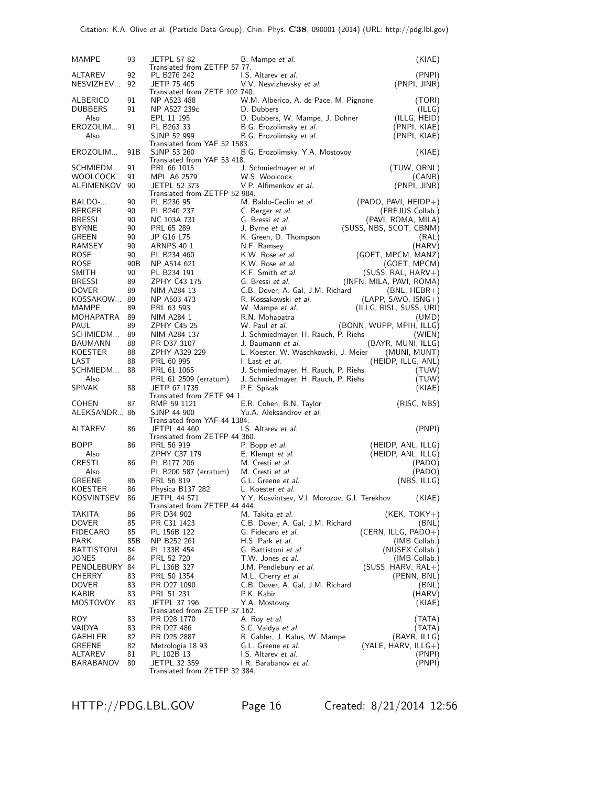| MAMPE                        | 93              | <b>JETPL 57 82</b>                           | B. Mampe <i>et al.</i>                              | (KIAE)                              |
|------------------------------|-----------------|----------------------------------------------|-----------------------------------------------------|-------------------------------------|
|                              |                 | Translated from ZETFP 57 77.                 |                                                     |                                     |
| ALTAREV                      | 92              | PL B276 242                                  | I.S. Altarev et al.                                 | (PNPI)                              |
| NESVIZHEV                    | 92              | JETP 75 405<br>Translated from ZETF 102 740. | V.V. Nesvizhevsky et al.                            | (PNPI, JINR)                        |
| ALBERICO                     | 91              | NP A523 488                                  | W.M. Alberico, A. de Pace, M. Pignone               | (TORI)                              |
| <b>DUBBERS</b>               | 91              | NP A527 239c                                 | D. Dubbers                                          | (ILLG)                              |
| Also                         |                 | EPL 11 195                                   | D. Dubbers, W. Mampe, J. Dohner                     | (ILLG, HEID)                        |
| EROZOLIM                     | 91              | PL B263 33                                   | B.G. Erozolimsky et al.                             | (PNPI, KIAE)                        |
| Also                         |                 | SJNP 52 999                                  | B.G. Erozolimsky et al.                             | (PNPI, KIAE)                        |
|                              |                 | Translated from YAF 52 1583.                 |                                                     |                                     |
| EROZOLIM                     | 91B             | SJNP 53 260                                  | B.G. Erozolimsky, Y.A. Mostovoy                     | (KIAE)                              |
|                              |                 | Translated from YAF 53 418.                  |                                                     |                                     |
| SCHMIEDM                     | 91              | PRL 66 1015                                  | J. Schmiedmayer et al.                              | (TUW, ORNL)                         |
| WOOLCOCK                     | 91              | MPL A6 2579                                  | W.S. Woolcock                                       | (CANB)                              |
| ALFIMENKOV                   | 90              | <b>JETPL 52 373</b>                          | V.P. Alfimenkov et al.                              | (PNPI, JINR)                        |
| BALDO-                       | 90              | Translated from ZETFP 52 984.<br>PL B236 95  | M. Baldo-Ceolin et al.                              | $(PADO, PAVI, HEIDP+)$              |
| BERGER                       | 90              | PL B240 237                                  | C. Berger et al.                                    | (FREJUS Collab.)                    |
| <b>BRESSI</b>                | 90              | NC 103A 731                                  | G. Bressi et al.                                    | (PAVI, ROMA, MILA)                  |
| <b>BYRNE</b>                 | 90              | PRL 65 289                                   | J. Byrne <i>et al.</i>                              | (SUSS, NBS, SCOT, CBNM)             |
| GREEN                        | 90              | JP G16 L75                                   | K. Green, D. Thompson                               | (RAL)                               |
| RAMSEY                       | 90              | <b>ARNPS 40 1</b>                            | N.F. Ramsey                                         | (HARV)                              |
| ROSE                         | 90              | PL B234 460                                  | K.W. Rose et al.                                    | (GOET, MPCM, MANZ)                  |
| ROSE                         | 90 <sub>B</sub> | NP A514 621                                  | K.W. Rose et al.                                    | (GOET, MPCM)                        |
| SMITH                        | 90              | PL B234 191                                  | K.F. Smith et al.                                   | (SUSS, RAL, HARV+)                  |
| <b>BRESSI</b>                | 89              | ZPHY C43 175                                 | G. Bressi et al.                                    | (INFN, MILA, PAVI, ROMA)            |
| <b>DOVER</b>                 | 89              | NIM A284 13                                  | C.B. Dover, A. Gal, J.M. Richard                    | $(BNL, HEBR+)$                      |
| KOSSAKOW                     | 89              | NP A503 473                                  | R. Kossakowski et al.                               | $(LAPP, SAVO, ISNG+)$               |
| MAMPE                        | 89              | PRL 63 593                                   | W. Mampe et al.                                     | (ILLG, RISL, SUSS, URI)             |
| MOHAPATRA                    | 89              | NIM A284 1                                   | R.N. Mohapatra                                      | (UMD)                               |
| PAUL                         | 89              | <b>ZPHY C45 25</b>                           | W. Paul et al.                                      | (BONN, WUPP, MPIH, ILLG)            |
| SCHMIEDM                     | 89              | NIM A284 137                                 | J. Schmiedmayer, H. Rauch, P. Riehs                 | (WIEN)                              |
| BAUMANN                      | 88              | PR D37 3107                                  | J. Baumann <i>et al.</i>                            | (BAYR, MUNI, ILLG)                  |
| KOESTER                      | 88              | ZPHY A329 229                                | L. Koester, W. Waschkowski, J. Meier                | (MUNI, MUNT)                        |
|                              |                 |                                              |                                                     |                                     |
| LAST                         | 88              | PRL 60 995                                   | I. Last et al.                                      | (HEIDP, ILLG, ANL)                  |
| SCHMIEDM                     | 88              | PRL 61 1065                                  | J. Schmiedmayer, H. Rauch, P. Riehs                 | (TUW)                               |
| Also                         |                 | PRL 61 2509 (erratum)                        | J. Schmiedmayer, H. Rauch, P. Riehs                 | (TUW)                               |
| <b>SPIVAK</b>                | 88              | JETP 67 1735                                 | P.E. Spivak                                         | (KIAE)                              |
|                              | 87              | Translated from ZETF 94 1.                   |                                                     |                                     |
| <b>COHEN</b><br>ALEKSANDR 86 |                 | RMP 59 1121<br>SJNP 44 900                   | E.R. Cohen, B.N. Taylor<br>Yu.A. Aleksandrov et al. | (RISC, NBS)                         |
|                              |                 | Translated from YAF 44 1384.                 |                                                     |                                     |
| ALTAREV                      | 86              | <b>JETPL 44 460</b>                          | I.S. Altarev et al.                                 | (PNPI)                              |
|                              |                 | Translated from ZETFP 44 360.                |                                                     |                                     |
| BOPP                         | 86              | PRL 56 919                                   | P. Bopp et al.                                      | (HEIDP, ANL, ILLG)                  |
| Also                         |                 | ZPHY C37 179                                 | E. Klempt et al.                                    | (HEIDP, ANL, ILLG)                  |
| CRESTI                       | 86              | PL B177 206                                  | M. Cresti et al.                                    | (PADO)                              |
| Also<br>GREENE               | 86              | PL B200 587 (erratum)<br>PRL 56 819          | M. Cresti et al.<br>G.L. Greene et al.              | (PADO)<br>(NBS, ILLG)               |
| KOESTER                      | 86              |                                              | L. Koester <i>et al.</i>                            |                                     |
| KOSVINTSEV                   | 86              | Physica B137 282<br><b>JETPL 44 571</b>      | Y.Y. Kosvintsev, V.I. Morozov, G.I. Terekhov        | (KIAE)                              |
|                              |                 | Translated from ZETFP 44 444.                |                                                     |                                     |
| TAKITA                       | 86              | PR D34 902                                   | M. Takita et al.                                    | $(KEK, TOKY+)$                      |
| DOVER                        | 85              | PR C31 1423                                  | C.B. Dover, A. Gal, J.M. Richard                    | (BNL)                               |
| FIDECARO                     | 85              | PL 156B 122                                  | G. Fidecaro et al.                                  | $(CERN, ILLG, PADO+)$               |
| PARK                         | 85B             | NP B252 261                                  | H.S. Park et al.                                    | (IMB Collab.)                       |
| <b>BATTISTONI</b>            | 84              | PL 133B 454                                  | G. Battistoni et al.                                | (NUSEX Collab.)                     |
| JONES<br>PENDLEBURY 84       | 84              | PRL 52 720                                   | T.W. Jones et al.                                   | (IMB Collab.)                       |
| CHERRY                       | 83              | PL 136B 327<br>PRL 50 1354                   | J.M. Pendlebury et al.<br>M.L. Cherry et al.        | $(SUSS, HARV, RAL+)$<br>(PENN, BNL) |
| <b>DOVER</b>                 | 83              | PR D27 1090                                  | C.B. Dover, A. Gal, J.M. Richard                    | (BNL)                               |
| KABIR                        | 83              | PRL 51 231                                   | P.K. Kabir                                          | (HARV)                              |
| MOSTOVOY                     | 83              | JETPL 37 196                                 | Y.A. Mostovoy                                       | (KIAE)                              |
|                              |                 | Translated from ZETFP 37 162.                |                                                     |                                     |
| ROY.                         | 83              | PR D28 1770                                  | A. Roy <i>et al.</i>                                | (TATA)                              |
| VAIDYA                       | 83              | PR D27 486                                   | S.C. Vaidya <i>et al.</i>                           | (TATA)                              |
| GAEHLER                      | 82              | PR D25 2887                                  | R. Gahler, J. Kalus, W. Mampe                       | (BAYR, ILLG)                        |
| GREENE<br>ALTAREV            | 82<br>81        | Metrologia 18 93<br>PL 102B 13               | G.L. Greene et al.<br>I.S. Altarev et al.           | (YALE, HARV, ILLG $+$ )<br>(PNPI)   |
| BARABANOV                    | 80              | JETPL 32 359                                 | I.R. Barabanov et al.                               | (PNPI)                              |